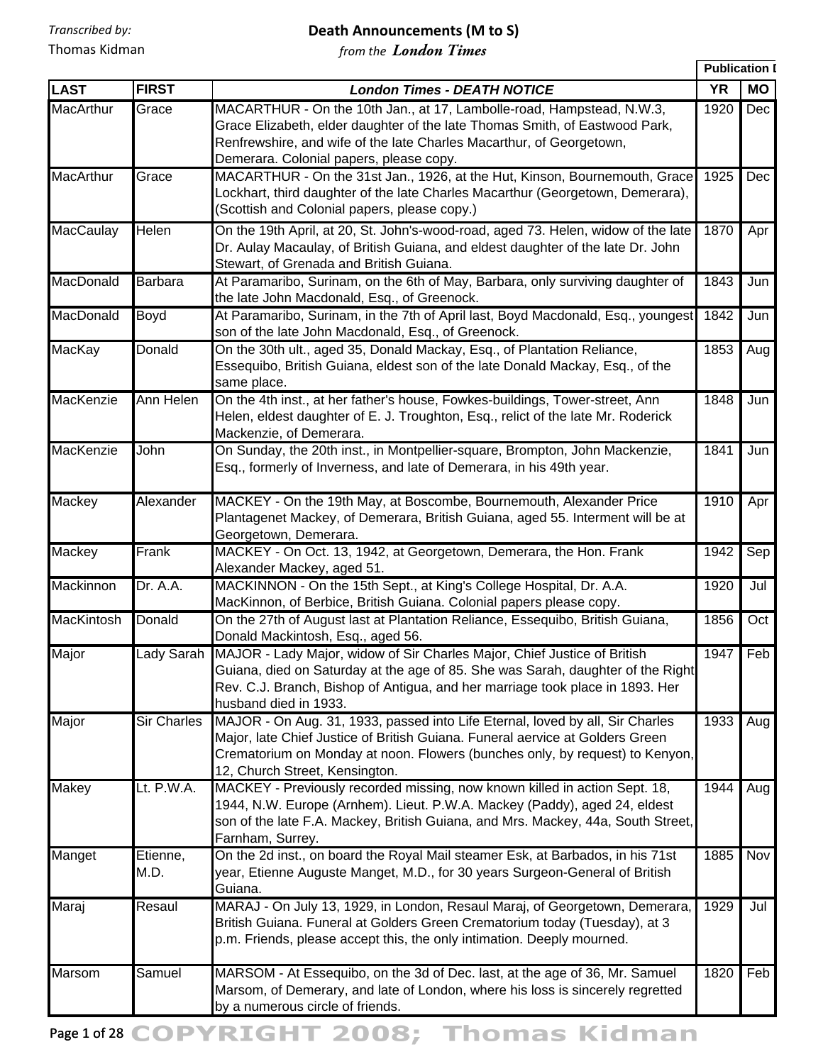#### **Death Announcements (M to S)**

*from the London Times*

|                   |                    |                                                                                                                                                                                                                                                                                  | <b>Publication I</b> |     |
|-------------------|--------------------|----------------------------------------------------------------------------------------------------------------------------------------------------------------------------------------------------------------------------------------------------------------------------------|----------------------|-----|
| <b>LAST</b>       | <b>FIRST</b>       | <b>London Times - DEATH NOTICE</b>                                                                                                                                                                                                                                               | <b>YR</b>            | MO  |
| <b>MacArthur</b>  | Grace              | MACARTHUR - On the 10th Jan., at 17, Lambolle-road, Hampstead, N.W.3,<br>Grace Elizabeth, elder daughter of the late Thomas Smith, of Eastwood Park,<br>Renfrewshire, and wife of the late Charles Macarthur, of Georgetown,<br>Demerara. Colonial papers, please copy.          | 1920                 | Dec |
| <b>MacArthur</b>  | Grace              | MACARTHUR - On the 31st Jan., 1926, at the Hut, Kinson, Bournemouth, Grace<br>Lockhart, third daughter of the late Charles Macarthur (Georgetown, Demerara),<br>(Scottish and Colonial papers, please copy.)                                                                     | 1925                 | Dec |
| <b>MacCaulay</b>  | Helen              | On the 19th April, at 20, St. John's-wood-road, aged 73. Helen, widow of the late<br>Dr. Aulay Macaulay, of British Guiana, and eldest daughter of the late Dr. John<br>Stewart, of Grenada and British Guiana.                                                                  | 1870                 | Apr |
| MacDonald         | Barbara            | At Paramaribo, Surinam, on the 6th of May, Barbara, only surviving daughter of<br>the late John Macdonald, Esq., of Greenock.                                                                                                                                                    | 1843                 | Jun |
| MacDonald         | Boyd               | At Paramaribo, Surinam, in the 7th of April last, Boyd Macdonald, Esq., youngest<br>son of the late John Macdonald, Esq., of Greenock.                                                                                                                                           | 1842                 | Jun |
| MacKay            | Donald             | On the 30th ult., aged 35, Donald Mackay, Esq., of Plantation Reliance,<br>Essequibo, British Guiana, eldest son of the late Donald Mackay, Esq., of the<br>same place.                                                                                                          | 1853                 | Aug |
| MacKenzie         | Ann Helen          | On the 4th inst., at her father's house, Fowkes-buildings, Tower-street, Ann<br>Helen, eldest daughter of E. J. Troughton, Esq., relict of the late Mr. Roderick<br>Mackenzie, of Demerara.                                                                                      | 1848                 | Jun |
| MacKenzie         | John               | On Sunday, the 20th inst., in Montpellier-square, Brompton, John Mackenzie,<br>Esq., formerly of Inverness, and late of Demerara, in his 49th year.                                                                                                                              | 1841                 | Jun |
| Mackey            | Alexander          | MACKEY - On the 19th May, at Boscombe, Bournemouth, Alexander Price<br>Plantagenet Mackey, of Demerara, British Guiana, aged 55. Interment will be at<br>Georgetown, Demerara.                                                                                                   | 1910                 | Apr |
| Mackey            | Frank              | MACKEY - On Oct. 13, 1942, at Georgetown, Demerara, the Hon. Frank<br>Alexander Mackey, aged 51.                                                                                                                                                                                 | 1942                 | Sep |
| Mackinnon         | Dr. A.A.           | MACKINNON - On the 15th Sept., at King's College Hospital, Dr. A.A.<br>MacKinnon, of Berbice, British Guiana. Colonial papers please copy.                                                                                                                                       | 1920                 | Jul |
| <b>MacKintosh</b> | Donald             | On the 27th of August last at Plantation Reliance, Essequibo, British Guiana,<br>Donald Mackintosh, Esq., aged 56.                                                                                                                                                               | 1856                 | Oct |
| Major             |                    | Lady Sarah MAJOR - Lady Major, widow of Sir Charles Major, Chief Justice of British<br>Guiana, died on Saturday at the age of 85. She was Sarah, daughter of the Right<br>Rev. C.J. Branch, Bishop of Antigua, and her marriage took place in 1893. Her<br>husband died in 1933. | 1947                 | Feb |
| Major             | <b>Sir Charles</b> | MAJOR - On Aug. 31, 1933, passed into Life Eternal, loved by all, Sir Charles<br>Major, late Chief Justice of British Guiana. Funeral aervice at Golders Green<br>Crematorium on Monday at noon. Flowers (bunches only, by request) to Kenyon,<br>12, Church Street, Kensington. | 1933                 | Aug |
| <b>Makey</b>      | Lt. P.W.A.         | MACKEY - Previously recorded missing, now known killed in action Sept. 18,<br>1944, N.W. Europe (Arnhem). Lieut. P.W.A. Mackey (Paddy), aged 24, eldest<br>son of the late F.A. Mackey, British Guiana, and Mrs. Mackey, 44a, South Street,<br>Farnham, Surrey.                  | 1944                 | Aug |
| Manget            | Etienne,<br>M.D.   | On the 2d inst., on board the Royal Mail steamer Esk, at Barbados, in his 71st<br>year, Etienne Auguste Manget, M.D., for 30 years Surgeon-General of British<br>Guiana.                                                                                                         | 1885                 | Nov |
| Maraj             | Resaul             | MARAJ - On July 13, 1929, in London, Resaul Maraj, of Georgetown, Demerara,<br>British Guiana. Funeral at Golders Green Crematorium today (Tuesday), at 3<br>p.m. Friends, please accept this, the only intimation. Deeply mourned.                                              | 1929                 | Jul |
| <b>Marsom</b>     | Samuel             | MARSOM - At Essequibo, on the 3d of Dec. last, at the age of 36, Mr. Samuel<br>Marsom, of Demerary, and late of London, where his loss is sincerely regretted<br>by a numerous circle of friends.                                                                                | 1820                 | Feb |

Page 1 of 28 COPYRIGHT 2008; Thomas Kidman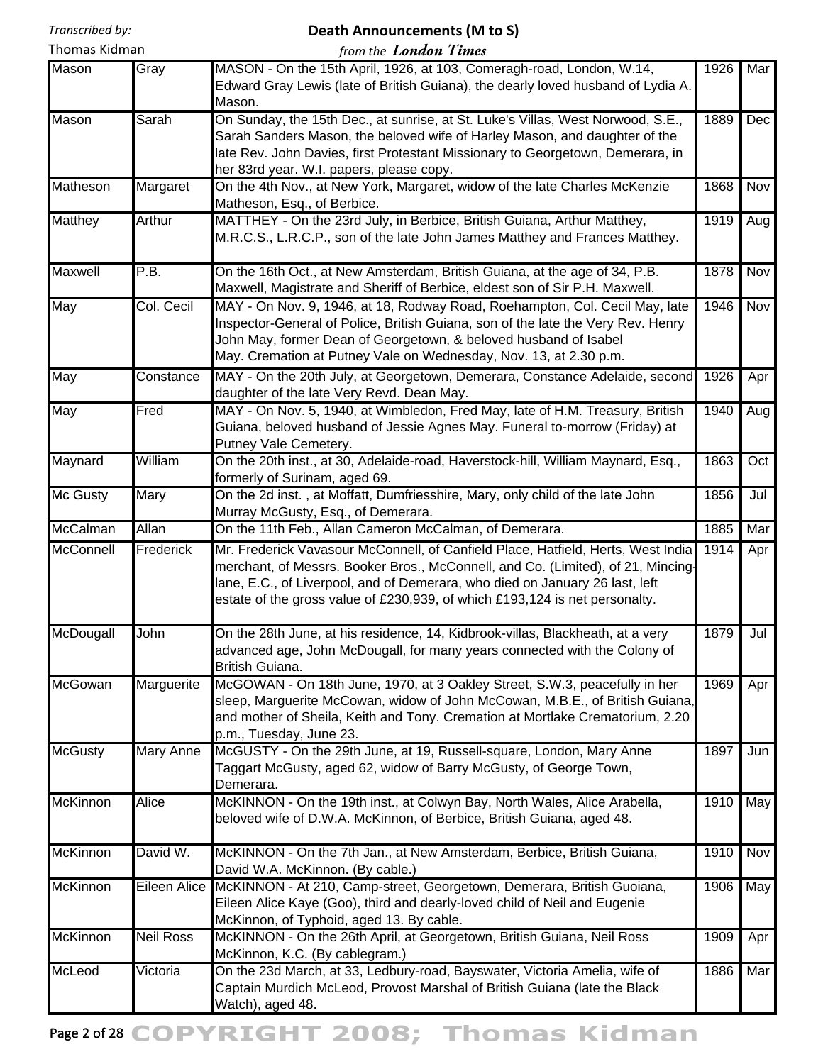## **Death Announcements (M to S)**

| Thomas Kidman   |                  | from the <b>London Times</b>                                                                                                                                                                                                                                                                                                        |      |     |
|-----------------|------------------|-------------------------------------------------------------------------------------------------------------------------------------------------------------------------------------------------------------------------------------------------------------------------------------------------------------------------------------|------|-----|
| Mason           | Gray             | MASON - On the 15th April, 1926, at 103, Comeragh-road, London, W.14,<br>Edward Gray Lewis (late of British Guiana), the dearly loved husband of Lydia A.<br>Mason.                                                                                                                                                                 | 1926 | Mar |
| Mason           | Sarah            | On Sunday, the 15th Dec., at sunrise, at St. Luke's Villas, West Norwood, S.E.,<br>Sarah Sanders Mason, the beloved wife of Harley Mason, and daughter of the<br>late Rev. John Davies, first Protestant Missionary to Georgetown, Demerara, in<br>her 83rd year. W.I. papers, please copy.                                         | 1889 | Dec |
| Matheson        | Margaret         | On the 4th Nov., at New York, Margaret, widow of the late Charles McKenzie<br>Matheson, Esq., of Berbice.                                                                                                                                                                                                                           | 1868 | Nov |
| Matthey         | Arthur           | MATTHEY - On the 23rd July, in Berbice, British Guiana, Arthur Matthey,<br>M.R.C.S., L.R.C.P., son of the late John James Matthey and Frances Matthey.                                                                                                                                                                              | 1919 | Aug |
| Maxwell         | P.B.             | On the 16th Oct., at New Amsterdam, British Guiana, at the age of 34, P.B.<br>Maxwell, Magistrate and Sheriff of Berbice, eldest son of Sir P.H. Maxwell.                                                                                                                                                                           | 1878 | Nov |
| May             | Col. Cecil       | MAY - On Nov. 9, 1946, at 18, Rodway Road, Roehampton, Col. Cecil May, late<br>Inspector-General of Police, British Guiana, son of the late the Very Rev. Henry<br>John May, former Dean of Georgetown, & beloved husband of Isabel<br>May. Cremation at Putney Vale on Wednesday, Nov. 13, at 2.30 p.m.                            | 1946 | Nov |
| May             | Constance        | MAY - On the 20th July, at Georgetown, Demerara, Constance Adelaide, second<br>daughter of the late Very Revd. Dean May.                                                                                                                                                                                                            | 1926 | Apr |
| May             | Fred             | MAY - On Nov. 5, 1940, at Wimbledon, Fred May, late of H.M. Treasury, British<br>Guiana, beloved husband of Jessie Agnes May. Funeral to-morrow (Friday) at<br>Putney Vale Cemetery.                                                                                                                                                | 1940 | Aug |
| Maynard         | William          | On the 20th inst., at 30, Adelaide-road, Haverstock-hill, William Maynard, Esq.,<br>1863<br>formerly of Surinam, aged 69.                                                                                                                                                                                                           |      | Oct |
| Mc Gusty        | Mary             | On the 2d inst., at Moffatt, Dumfriesshire, Mary, only child of the late John<br>Murray McGusty, Esq., of Demerara.                                                                                                                                                                                                                 | 1856 | Jul |
| McCalman        | Allan            | On the 11th Feb., Allan Cameron McCalman, of Demerara.                                                                                                                                                                                                                                                                              | 1885 | Mar |
| McConnell       | <b>Frederick</b> | Mr. Frederick Vavasour McConnell, of Canfield Place, Hatfield, Herts, West India<br>merchant, of Messrs. Booker Bros., McConnell, and Co. (Limited), of 21, Mincing-<br>lane, E.C., of Liverpool, and of Demerara, who died on January 26 last, left<br>estate of the gross value of £230,939, of which £193,124 is net personalty. | 1914 | Apr |
| McDougall       | John             | On the 28th June, at his residence, 14, Kidbrook-villas, Blackheath, at a very<br>advanced age, John McDougall, for many years connected with the Colony of<br>British Guiana.                                                                                                                                                      | 1879 | Jul |
| McGowan         | Marguerite       | McGOWAN - On 18th June, 1970, at 3 Oakley Street, S.W.3, peacefully in her<br>sleep, Marguerite McCowan, widow of John McCowan, M.B.E., of British Guiana,<br>and mother of Sheila, Keith and Tony. Cremation at Mortlake Crematorium, 2.20<br>p.m., Tuesday, June 23.                                                              | 1969 | Apr |
| <b>McGusty</b>  | <b>Mary Anne</b> | McGUSTY - On the 29th June, at 19, Russell-square, London, Mary Anne<br>Taggart McGusty, aged 62, widow of Barry McGusty, of George Town,<br>Demerara.                                                                                                                                                                              | 1897 | Jun |
| <b>McKinnon</b> | <b>Alice</b>     | McKINNON - On the 19th inst., at Colwyn Bay, North Wales, Alice Arabella,<br>beloved wife of D.W.A. McKinnon, of Berbice, British Guiana, aged 48.                                                                                                                                                                                  | 1910 | May |
| McKinnon        | David W.         | McKINNON - On the 7th Jan., at New Amsterdam, Berbice, British Guiana,<br>David W.A. McKinnon. (By cable.)                                                                                                                                                                                                                          | 1910 | Nov |
| McKinnon        | Eileen Alice     | McKINNON - At 210, Camp-street, Georgetown, Demerara, British Guoiana,<br>Eileen Alice Kaye (Goo), third and dearly-loved child of Neil and Eugenie<br>McKinnon, of Typhoid, aged 13. By cable.                                                                                                                                     | 1906 | May |
| <b>McKinnon</b> | <b>Neil Ross</b> | McKINNON - On the 26th April, at Georgetown, British Guiana, Neil Ross<br>McKinnon, K.C. (By cablegram.)                                                                                                                                                                                                                            | 1909 | Apr |
| McLeod          | Victoria         | On the 23d March, at 33, Ledbury-road, Bayswater, Victoria Amelia, wife of<br>Captain Murdich McLeod, Provost Marshal of British Guiana (late the Black<br>Watch), aged 48.                                                                                                                                                         | 1886 | Mar |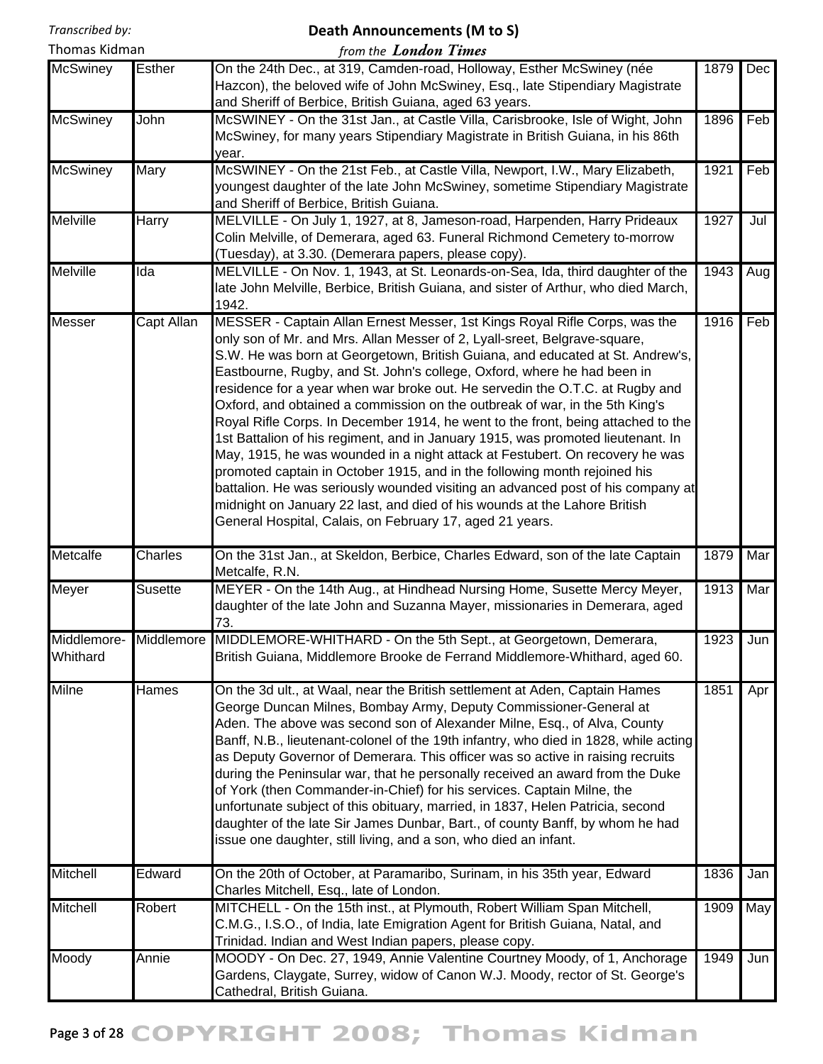#### **Death Announcements (M to S)**

| Thomas Kidman |  |  |
|---------------|--|--|

| from the <b>London Times</b> |  |  |
|------------------------------|--|--|
|                              |  |  |

|                         |                   | point the <b>Euretain Tennes</b>                                                                                                                                                                                                                                                                                                                                                                                                                                                                                                                                                                                                                                                                                                                                                                                                                                                                                                                                                                                                                   |      |     |
|-------------------------|-------------------|----------------------------------------------------------------------------------------------------------------------------------------------------------------------------------------------------------------------------------------------------------------------------------------------------------------------------------------------------------------------------------------------------------------------------------------------------------------------------------------------------------------------------------------------------------------------------------------------------------------------------------------------------------------------------------------------------------------------------------------------------------------------------------------------------------------------------------------------------------------------------------------------------------------------------------------------------------------------------------------------------------------------------------------------------|------|-----|
| <b>McSwiney</b>         | <b>Esther</b>     | On the 24th Dec., at 319, Camden-road, Holloway, Esther McSwiney (née<br>Hazcon), the beloved wife of John McSwiney, Esq., late Stipendiary Magistrate<br>and Sheriff of Berbice, British Guiana, aged 63 years.                                                                                                                                                                                                                                                                                                                                                                                                                                                                                                                                                                                                                                                                                                                                                                                                                                   | 1879 | Dec |
| <b>McSwiney</b>         | John              | McSWINEY - On the 31st Jan., at Castle Villa, Carisbrooke, Isle of Wight, John<br>McSwiney, for many years Stipendiary Magistrate in British Guiana, in his 86th<br>year.                                                                                                                                                                                                                                                                                                                                                                                                                                                                                                                                                                                                                                                                                                                                                                                                                                                                          | 1896 | Feb |
| <b>McSwiney</b>         | Mary              | McSWINEY - On the 21st Feb., at Castle Villa, Newport, I.W., Mary Elizabeth,<br>youngest daughter of the late John McSwiney, sometime Stipendiary Magistrate<br>and Sheriff of Berbice, British Guiana.                                                                                                                                                                                                                                                                                                                                                                                                                                                                                                                                                                                                                                                                                                                                                                                                                                            | 1921 | Feb |
| Melville                | <b>Harry</b>      | MELVILLE - On July 1, 1927, at 8, Jameson-road, Harpenden, Harry Prideaux<br>Colin Melville, of Demerara, aged 63. Funeral Richmond Cemetery to-morrow<br>(Tuesday), at 3.30. (Demerara papers, please copy).                                                                                                                                                                                                                                                                                                                                                                                                                                                                                                                                                                                                                                                                                                                                                                                                                                      | 1927 | Jul |
| <b>Melville</b>         | Ida               | MELVILLE - On Nov. 1, 1943, at St. Leonards-on-Sea, Ida, third daughter of the<br>1943<br>late John Melville, Berbice, British Guiana, and sister of Arthur, who died March,<br>1942.                                                                                                                                                                                                                                                                                                                                                                                                                                                                                                                                                                                                                                                                                                                                                                                                                                                              |      | Aug |
| Messer                  | <b>Capt Allan</b> | MESSER - Captain Allan Ernest Messer, 1st Kings Royal Rifle Corps, was the<br>only son of Mr. and Mrs. Allan Messer of 2, Lyall-sreet, Belgrave-square,<br>S.W. He was born at Georgetown, British Guiana, and educated at St. Andrew's,<br>Eastbourne, Rugby, and St. John's college, Oxford, where he had been in<br>residence for a year when war broke out. He servedin the O.T.C. at Rugby and<br>Oxford, and obtained a commission on the outbreak of war, in the 5th King's<br>Royal Rifle Corps. In December 1914, he went to the front, being attached to the<br>1st Battalion of his regiment, and in January 1915, was promoted lieutenant. In<br>May, 1915, he was wounded in a night attack at Festubert. On recovery he was<br>promoted captain in October 1915, and in the following month rejoined his<br>battalion. He was seriously wounded visiting an advanced post of his company at<br>midnight on January 22 last, and died of his wounds at the Lahore British<br>General Hospital, Calais, on February 17, aged 21 years. | 1916 | Feb |
| Metcalfe                | Charles           | On the 31st Jan., at Skeldon, Berbice, Charles Edward, son of the late Captain<br>Metcalfe, R.N.                                                                                                                                                                                                                                                                                                                                                                                                                                                                                                                                                                                                                                                                                                                                                                                                                                                                                                                                                   | 1879 | Mar |
| Meyer                   | <b>Susette</b>    | MEYER - On the 14th Aug., at Hindhead Nursing Home, Susette Mercy Meyer,<br>daughter of the late John and Suzanna Mayer, missionaries in Demerara, aged<br>73.                                                                                                                                                                                                                                                                                                                                                                                                                                                                                                                                                                                                                                                                                                                                                                                                                                                                                     | 1913 | Mar |
| Middlemore-<br>Whithard | Middlemore        | MIDDLEMORE-WHITHARD - On the 5th Sept., at Georgetown, Demerara,<br>British Guiana, Middlemore Brooke de Ferrand Middlemore-Whithard, aged 60.                                                                                                                                                                                                                                                                                                                                                                                                                                                                                                                                                                                                                                                                                                                                                                                                                                                                                                     | 1923 | Jun |
| <b>Milne</b>            | Hames             | On the 3d ult., at Waal, near the British settlement at Aden, Captain Hames<br>George Duncan Milnes, Bombay Army, Deputy Commissioner-General at<br>Aden. The above was second son of Alexander Milne, Esq., of Alva, County<br>Banff, N.B., lieutenant-colonel of the 19th infantry, who died in 1828, while acting<br>as Deputy Governor of Demerara. This officer was so active in raising recruits<br>during the Peninsular war, that he personally received an award from the Duke<br>of York (then Commander-in-Chief) for his services. Captain Milne, the<br>unfortunate subject of this obituary, married, in 1837, Helen Patricia, second<br>daughter of the late Sir James Dunbar, Bart., of county Banff, by whom he had<br>issue one daughter, still living, and a son, who died an infant.                                                                                                                                                                                                                                           | 1851 | Apr |
| Mitchell                | Edward            | On the 20th of October, at Paramaribo, Surinam, in his 35th year, Edward<br>Charles Mitchell, Esq., late of London.                                                                                                                                                                                                                                                                                                                                                                                                                                                                                                                                                                                                                                                                                                                                                                                                                                                                                                                                | 1836 | Jan |
| <b>Mitchell</b>         | Robert            | MITCHELL - On the 15th inst., at Plymouth, Robert William Span Mitchell,<br>C.M.G., I.S.O., of India, late Emigration Agent for British Guiana, Natal, and<br>Trinidad. Indian and West Indian papers, please copy.                                                                                                                                                                                                                                                                                                                                                                                                                                                                                                                                                                                                                                                                                                                                                                                                                                | 1909 | May |
| Moody                   | Annie             | MOODY - On Dec. 27, 1949, Annie Valentine Courtney Moody, of 1, Anchorage<br>Gardens, Claygate, Surrey, widow of Canon W.J. Moody, rector of St. George's<br>Cathedral, British Guiana.                                                                                                                                                                                                                                                                                                                                                                                                                                                                                                                                                                                                                                                                                                                                                                                                                                                            | 1949 | Jun |

# Page 3 of 28 COPYRIGHT 2008; Thomas Kidman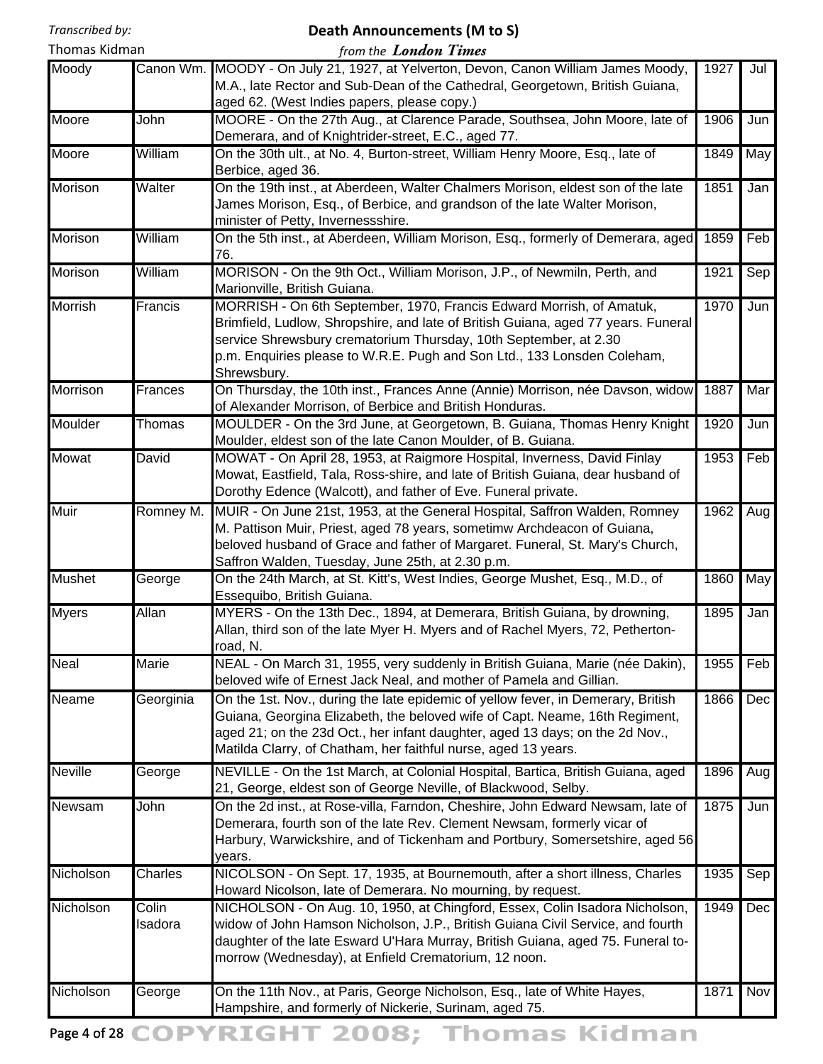# **Death Announcements (M to S)**

| Thomas Kidman |                  | from the <b>London Times</b>                                                                                                                                                                                                                                                                                            |      |     |
|---------------|------------------|-------------------------------------------------------------------------------------------------------------------------------------------------------------------------------------------------------------------------------------------------------------------------------------------------------------------------|------|-----|
| Moody         |                  | Canon Wm. MOODY - On July 21, 1927, at Yelverton, Devon, Canon William James Moody,<br>M.A., late Rector and Sub-Dean of the Cathedral, Georgetown, British Guiana,<br>aged 62. (West Indies papers, please copy.)                                                                                                      | 1927 | Jul |
| Moore         | John             | MOORE - On the 27th Aug., at Clarence Parade, Southsea, John Moore, late of<br>Demerara, and of Knightrider-street, E.C., aged 77.                                                                                                                                                                                      | 1906 | Jun |
| Moore         | William          | On the 30th ult., at No. 4, Burton-street, William Henry Moore, Esq., late of<br>Berbice, aged 36.                                                                                                                                                                                                                      | 1849 | May |
| Morison       | Walter           | On the 19th inst., at Aberdeen, Walter Chalmers Morison, eldest son of the late<br>James Morison, Esq., of Berbice, and grandson of the late Walter Morison,<br>minister of Petty, Invernessshire.                                                                                                                      | 1851 | Jan |
| Morison       | William          | On the 5th inst., at Aberdeen, William Morison, Esq., formerly of Demerara, aged<br>76.                                                                                                                                                                                                                                 | 1859 | Feb |
| Morison       | William          | MORISON - On the 9th Oct., William Morison, J.P., of Newmiln, Perth, and<br>Marionville, British Guiana.                                                                                                                                                                                                                | 1921 | Sep |
| Morrish       | Francis          | MORRISH - On 6th September, 1970, Francis Edward Morrish, of Amatuk,<br>Brimfield, Ludlow, Shropshire, and late of British Guiana, aged 77 years. Funeral<br>service Shrewsbury crematorium Thursday, 10th September, at 2.30<br>p.m. Enquiries please to W.R.E. Pugh and Son Ltd., 133 Lonsden Coleham,<br>Shrewsbury. | 1970 | Jun |
| Morrison      | Frances          | On Thursday, the 10th inst., Frances Anne (Annie) Morrison, née Davson, widow<br>of Alexander Morrison, of Berbice and British Honduras.                                                                                                                                                                                | 1887 | Mar |
| Moulder       | Thomas           | MOULDER - On the 3rd June, at Georgetown, B. Guiana, Thomas Henry Knight<br>Moulder, eldest son of the late Canon Moulder, of B. Guiana.                                                                                                                                                                                | 1920 | Jun |
| Mowat         | David            | MOWAT - On April 28, 1953, at Raigmore Hospital, Inverness, David Finlay<br>Mowat, Eastfield, Tala, Ross-shire, and late of British Guiana, dear husband of<br>Dorothy Edence (Walcott), and father of Eve. Funeral private.                                                                                            | 1953 | Feb |
| Muir          | Romney M.        | MUIR - On June 21st, 1953, at the General Hospital, Saffron Walden, Romney<br>M. Pattison Muir, Priest, aged 78 years, sometimw Archdeacon of Guiana,<br>beloved husband of Grace and father of Margaret. Funeral, St. Mary's Church,<br>Saffron Walden, Tuesday, June 25th, at 2.30 p.m.                               | 1962 | Aug |
| <b>Mushet</b> | George           | On the 24th March, at St. Kitt's, West Indies, George Mushet, Esq., M.D., of<br>Essequibo, British Guiana.                                                                                                                                                                                                              | 1860 | May |
| <b>Myers</b>  | <b>Allan</b>     | MYERS - On the 13th Dec., 1894, at Demerara, British Guiana, by drowning,<br>Allan, third son of the late Myer H. Myers and of Rachel Myers, 72, Petherton-<br>road, N.                                                                                                                                                 | 1895 | Jan |
| <b>Neal</b>   | Marie            | NEAL - On March 31, 1955, very suddenly in British Guiana, Marie (née Dakin),<br>beloved wife of Ernest Jack Neal, and mother of Pamela and Gillian.                                                                                                                                                                    | 1955 | Feb |
| Neame         | Georginia        | On the 1st. Nov., during the late epidemic of yellow fever, in Demerary, British<br>Guiana, Georgina Elizabeth, the beloved wife of Capt. Neame, 16th Regiment,<br>aged 21; on the 23d Oct., her infant daughter, aged 13 days; on the 2d Nov.,<br>Matilda Clarry, of Chatham, her faithful nurse, aged 13 years.       | 1866 | Dec |
| Neville       | George           | NEVILLE - On the 1st March, at Colonial Hospital, Bartica, British Guiana, aged<br>21, George, eldest son of George Neville, of Blackwood, Selby.                                                                                                                                                                       | 1896 | Aug |
| Newsam        | John             | On the 2d inst., at Rose-villa, Farndon, Cheshire, John Edward Newsam, late of<br>Demerara, fourth son of the late Rev. Clement Newsam, formerly vicar of<br>Harbury, Warwickshire, and of Tickenham and Portbury, Somersetshire, aged 56<br>years.                                                                     | 1875 | Jun |
| Nicholson     | Charles          | NICOLSON - On Sept. 17, 1935, at Bournemouth, after a short illness, Charles<br>Howard Nicolson, late of Demerara. No mourning, by request.                                                                                                                                                                             | 1935 | Sep |
| Nicholson     | Colin<br>Isadora | NICHOLSON - On Aug. 10, 1950, at Chingford, Essex, Colin Isadora Nicholson,<br>widow of John Hamson Nicholson, J.P., British Guiana Civil Service, and fourth<br>daughter of the late Esward U'Hara Murray, British Guiana, aged 75. Funeral to-<br>morrow (Wednesday), at Enfield Crematorium, 12 noon.                | 1949 | Dec |
| Nicholson     | George           | On the 11th Nov., at Paris, George Nicholson, Esq., late of White Hayes,<br>Hampshire, and formerly of Nickerie, Surinam, aged 75.                                                                                                                                                                                      | 1871 | Nov |

Page 4 of 28 COPYRIGHT 2008; Thomas Kidman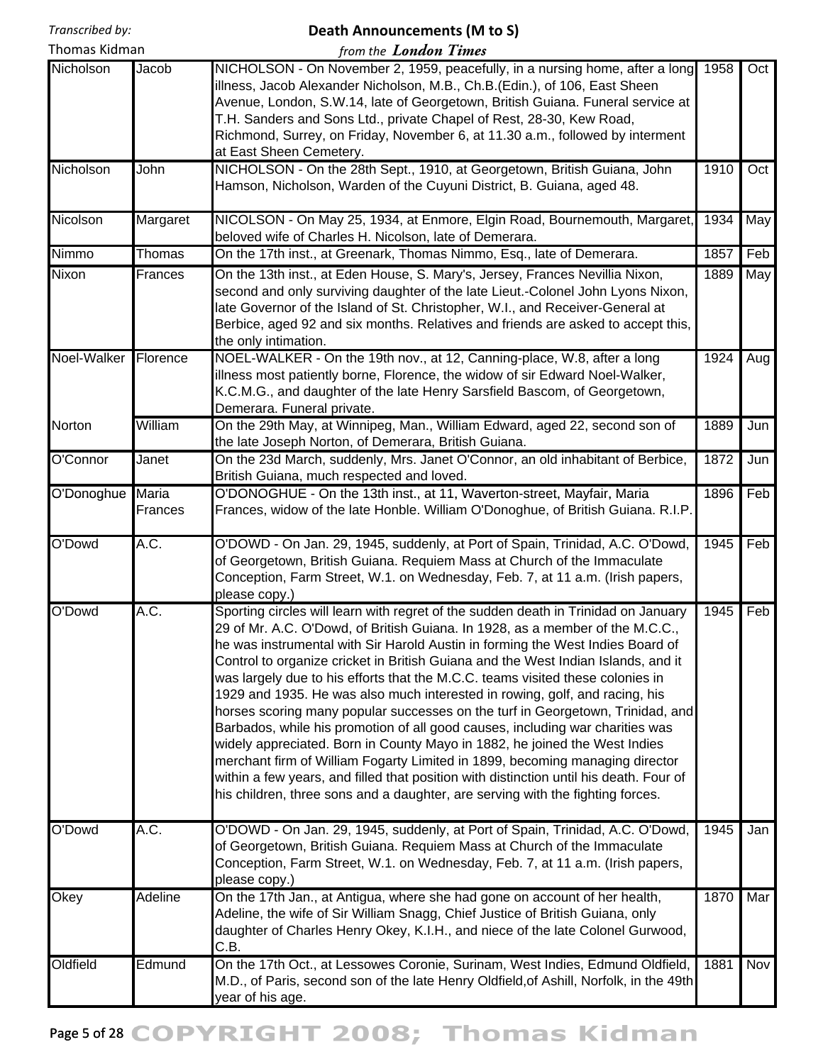## **Death Announcements (M to S)**

| Thomas Kidman    |                | from the <b>London Times</b>                                                                                                                                                                                                                                                                                                                                                                                                                                                                                                                                                                                                                                                                                                                                                                                                                                                                                                                                                                                             |      |     |
|------------------|----------------|--------------------------------------------------------------------------------------------------------------------------------------------------------------------------------------------------------------------------------------------------------------------------------------------------------------------------------------------------------------------------------------------------------------------------------------------------------------------------------------------------------------------------------------------------------------------------------------------------------------------------------------------------------------------------------------------------------------------------------------------------------------------------------------------------------------------------------------------------------------------------------------------------------------------------------------------------------------------------------------------------------------------------|------|-----|
| Nicholson        | Jacob          | NICHOLSON - On November 2, 1959, peacefully, in a nursing home, after a long<br>illness, Jacob Alexander Nicholson, M.B., Ch.B.(Edin.), of 106, East Sheen<br>Avenue, London, S.W.14, late of Georgetown, British Guiana. Funeral service at<br>T.H. Sanders and Sons Ltd., private Chapel of Rest, 28-30, Kew Road,<br>Richmond, Surrey, on Friday, November 6, at 11.30 a.m., followed by interment<br>at East Sheen Cemetery.                                                                                                                                                                                                                                                                                                                                                                                                                                                                                                                                                                                         | 1958 | Oct |
| Nicholson        | John           | NICHOLSON - On the 28th Sept., 1910, at Georgetown, British Guiana, John<br>Hamson, Nicholson, Warden of the Cuyuni District, B. Guiana, aged 48.                                                                                                                                                                                                                                                                                                                                                                                                                                                                                                                                                                                                                                                                                                                                                                                                                                                                        | 1910 | Oct |
| Nicolson         | Margaret       | NICOLSON - On May 25, 1934, at Enmore, Elgin Road, Bournemouth, Margaret,<br>beloved wife of Charles H. Nicolson, late of Demerara.                                                                                                                                                                                                                                                                                                                                                                                                                                                                                                                                                                                                                                                                                                                                                                                                                                                                                      | 1934 | May |
| Nimmo            | Thomas         | On the 17th inst., at Greenark, Thomas Nimmo, Esq., late of Demerara.                                                                                                                                                                                                                                                                                                                                                                                                                                                                                                                                                                                                                                                                                                                                                                                                                                                                                                                                                    | 1857 | Feb |
| Nixon            | Frances        | On the 13th inst., at Eden House, S. Mary's, Jersey, Frances Nevillia Nixon,<br>second and only surviving daughter of the late Lieut.-Colonel John Lyons Nixon,<br>late Governor of the Island of St. Christopher, W.I., and Receiver-General at<br>Berbice, aged 92 and six months. Relatives and friends are asked to accept this,<br>the only intimation.                                                                                                                                                                                                                                                                                                                                                                                                                                                                                                                                                                                                                                                             | 1889 | May |
| Noel-Walker      | Florence       | NOEL-WALKER - On the 19th nov., at 12, Canning-place, W.8, after a long<br>illness most patiently borne, Florence, the widow of sir Edward Noel-Walker,<br>K.C.M.G., and daughter of the late Henry Sarsfield Bascom, of Georgetown,<br>Demerara. Funeral private.                                                                                                                                                                                                                                                                                                                                                                                                                                                                                                                                                                                                                                                                                                                                                       | 1924 | Aug |
| Norton           | William        | On the 29th May, at Winnipeg, Man., William Edward, aged 22, second son of<br>the late Joseph Norton, of Demerara, British Guiana.                                                                                                                                                                                                                                                                                                                                                                                                                                                                                                                                                                                                                                                                                                                                                                                                                                                                                       | 1889 | Jun |
| O'Connor         | Janet          | On the 23d March, suddenly, Mrs. Janet O'Connor, an old inhabitant of Berbice,<br>British Guiana, much respected and loved.                                                                                                                                                                                                                                                                                                                                                                                                                                                                                                                                                                                                                                                                                                                                                                                                                                                                                              | 1872 | Jun |
| O'Donoghue Maria | <b>Frances</b> | O'DONOGHUE - On the 13th inst., at 11, Waverton-street, Mayfair, Maria<br>Frances, widow of the late Honble. William O'Donoghue, of British Guiana. R.I.P.                                                                                                                                                                                                                                                                                                                                                                                                                                                                                                                                                                                                                                                                                                                                                                                                                                                               | 1896 | Feb |
| O'Dowd           | A.C.           | O'DOWD - On Jan. 29, 1945, suddenly, at Port of Spain, Trinidad, A.C. O'Dowd,<br>of Georgetown, British Guiana. Requiem Mass at Church of the Immaculate<br>Conception, Farm Street, W.1. on Wednesday, Feb. 7, at 11 a.m. (Irish papers,<br>please copy.)                                                                                                                                                                                                                                                                                                                                                                                                                                                                                                                                                                                                                                                                                                                                                               | 1945 | Feb |
| O'Dowd           | A.C.           | Sporting circles will learn with regret of the sudden death in Trinidad on January<br>29 of Mr. A.C. O'Dowd, of British Guiana. In 1928, as a member of the M.C.C.,<br>he was instrumental with Sir Harold Austin in forming the West Indies Board of<br>Control to organize cricket in British Guiana and the West Indian Islands, and it<br>was largely due to his efforts that the M.C.C. teams visited these colonies in<br>1929 and 1935. He was also much interested in rowing, golf, and racing, his<br>horses scoring many popular successes on the turf in Georgetown, Trinidad, and<br>Barbados, while his promotion of all good causes, including war charities was<br>widely appreciated. Born in County Mayo in 1882, he joined the West Indies<br>merchant firm of William Fogarty Limited in 1899, becoming managing director<br>within a few years, and filled that position with distinction until his death. Four of<br>his children, three sons and a daughter, are serving with the fighting forces. | 1945 | Feb |
| O'Dowd           | A.C.           | O'DOWD - On Jan. 29, 1945, suddenly, at Port of Spain, Trinidad, A.C. O'Dowd,<br>of Georgetown, British Guiana. Requiem Mass at Church of the Immaculate<br>Conception, Farm Street, W.1. on Wednesday, Feb. 7, at 11 a.m. (Irish papers,<br>please copy.)                                                                                                                                                                                                                                                                                                                                                                                                                                                                                                                                                                                                                                                                                                                                                               | 1945 | Jan |
| Okey             | Adeline        | On the 17th Jan., at Antigua, where she had gone on account of her health,<br>Adeline, the wife of Sir William Snagg, Chief Justice of British Guiana, only<br>daughter of Charles Henry Okey, K.I.H., and niece of the late Colonel Gurwood,<br>C.B.                                                                                                                                                                                                                                                                                                                                                                                                                                                                                                                                                                                                                                                                                                                                                                    | 1870 | Mar |
| Oldfield         | Edmund         | On the 17th Oct., at Lessowes Coronie, Surinam, West Indies, Edmund Oldfield,<br>M.D., of Paris, second son of the late Henry Oldfield, of Ashill, Norfolk, in the 49th<br>year of his age.                                                                                                                                                                                                                                                                                                                                                                                                                                                                                                                                                                                                                                                                                                                                                                                                                              | 1881 | Nov |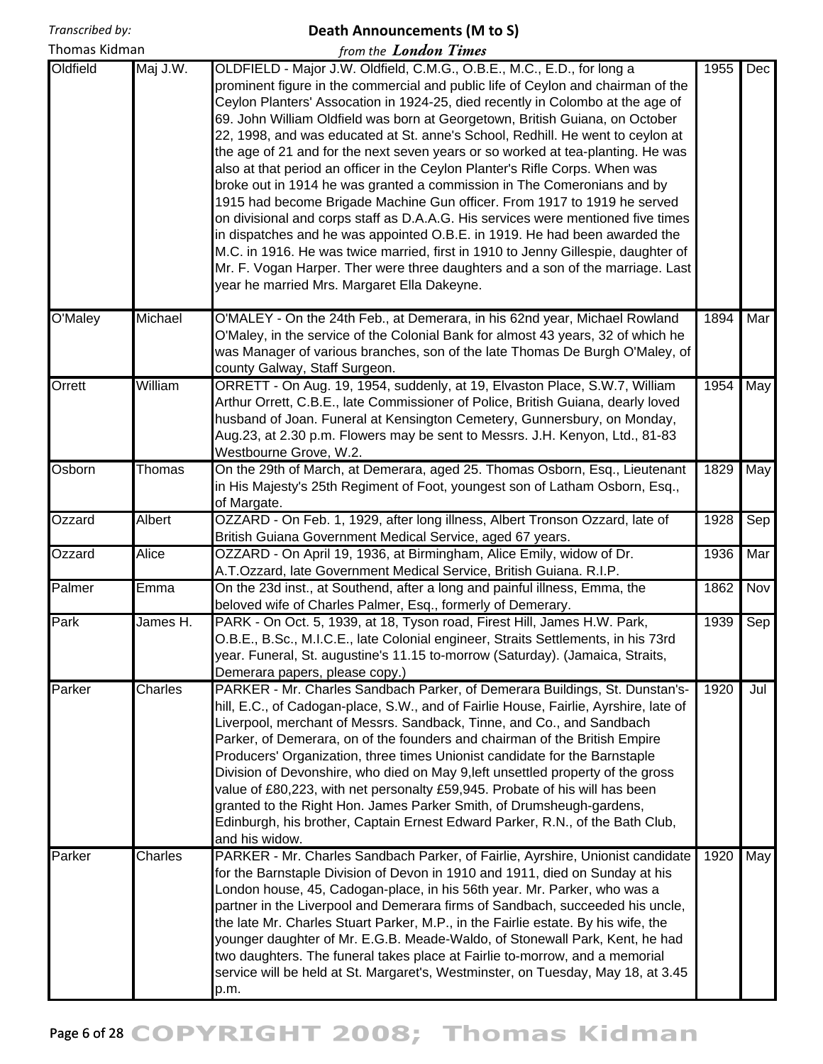# **Death Announcements (M to S)** *from the London Times*

Thomas Kidman

| Oldfield | Maj J.W.     | OLDFIELD - Major J.W. Oldfield, C.M.G., O.B.E., M.C., E.D., for long a<br>prominent figure in the commercial and public life of Ceylon and chairman of the<br>Ceylon Planters' Assocation in 1924-25, died recently in Colombo at the age of<br>69. John William Oldfield was born at Georgetown, British Guiana, on October<br>22, 1998, and was educated at St. anne's School, Redhill. He went to ceylon at<br>the age of 21 and for the next seven years or so worked at tea-planting. He was<br>also at that period an officer in the Ceylon Planter's Rifle Corps. When was<br>broke out in 1914 he was granted a commission in The Comeronians and by<br>1915 had become Brigade Machine Gun officer. From 1917 to 1919 he served<br>on divisional and corps staff as D.A.A.G. His services were mentioned five times<br>in dispatches and he was appointed O.B.E. in 1919. He had been awarded the<br>M.C. in 1916. He was twice married, first in 1910 to Jenny Gillespie, daughter of<br>Mr. F. Vogan Harper. Ther were three daughters and a son of the marriage. Last<br>year he married Mrs. Margaret Ella Dakeyne. | 1955 | Dec |
|----------|--------------|----------------------------------------------------------------------------------------------------------------------------------------------------------------------------------------------------------------------------------------------------------------------------------------------------------------------------------------------------------------------------------------------------------------------------------------------------------------------------------------------------------------------------------------------------------------------------------------------------------------------------------------------------------------------------------------------------------------------------------------------------------------------------------------------------------------------------------------------------------------------------------------------------------------------------------------------------------------------------------------------------------------------------------------------------------------------------------------------------------------------------------|------|-----|
| O'Maley  | Michael      | O'MALEY - On the 24th Feb., at Demerara, in his 62nd year, Michael Rowland<br>O'Maley, in the service of the Colonial Bank for almost 43 years, 32 of which he<br>was Manager of various branches, son of the late Thomas De Burgh O'Maley, of<br>county Galway, Staff Surgeon.                                                                                                                                                                                                                                                                                                                                                                                                                                                                                                                                                                                                                                                                                                                                                                                                                                                  | 1894 | Mar |
| Orrett   | William      | ORRETT - On Aug. 19, 1954, suddenly, at 19, Elvaston Place, S.W.7, William<br>Arthur Orrett, C.B.E., late Commissioner of Police, British Guiana, dearly loved<br>husband of Joan. Funeral at Kensington Cemetery, Gunnersbury, on Monday,<br>Aug.23, at 2.30 p.m. Flowers may be sent to Messrs. J.H. Kenyon, Ltd., 81-83<br>Westbourne Grove, W.2.                                                                                                                                                                                                                                                                                                                                                                                                                                                                                                                                                                                                                                                                                                                                                                             | 1954 | May |
| Osborn   | Thomas       | On the 29th of March, at Demerara, aged 25. Thomas Osborn, Esq., Lieutenant<br>in His Majesty's 25th Regiment of Foot, youngest son of Latham Osborn, Esq.,<br>of Margate.                                                                                                                                                                                                                                                                                                                                                                                                                                                                                                                                                                                                                                                                                                                                                                                                                                                                                                                                                       | 1829 | May |
| Ozzard   | Albert       | OZZARD - On Feb. 1, 1929, after long illness, Albert Tronson Ozzard, late of<br>British Guiana Government Medical Service, aged 67 years.                                                                                                                                                                                                                                                                                                                                                                                                                                                                                                                                                                                                                                                                                                                                                                                                                                                                                                                                                                                        |      | Sep |
| Ozzard   | <b>Alice</b> | OZZARD - On April 19, 1936, at Birmingham, Alice Emily, widow of Dr.<br>A.T.Ozzard, late Government Medical Service, British Guiana. R.I.P.                                                                                                                                                                                                                                                                                                                                                                                                                                                                                                                                                                                                                                                                                                                                                                                                                                                                                                                                                                                      |      | Mar |
| Palmer   | Emma         | On the 23d inst., at Southend, after a long and painful illness, Emma, the<br>beloved wife of Charles Palmer, Esq., formerly of Demerary.                                                                                                                                                                                                                                                                                                                                                                                                                                                                                                                                                                                                                                                                                                                                                                                                                                                                                                                                                                                        | 1862 | Nov |
| Park     | James H.     | PARK - On Oct. 5, 1939, at 18, Tyson road, Firest Hill, James H.W. Park,<br>O.B.E., B.Sc., M.I.C.E., late Colonial engineer, Straits Settlements, in his 73rd<br>year. Funeral, St. augustine's 11.15 to-morrow (Saturday). (Jamaica, Straits,<br>Demerara papers, please copy.)                                                                                                                                                                                                                                                                                                                                                                                                                                                                                                                                                                                                                                                                                                                                                                                                                                                 | 1939 | Sep |
| Parker   | Charles      | PARKER - Mr. Charles Sandbach Parker, of Demerara Buildings, St. Dunstan's-<br>hill, E.C., of Cadogan-place, S.W., and of Fairlie House, Fairlie, Ayrshire, late of<br>Liverpool, merchant of Messrs. Sandback, Tinne, and Co., and Sandbach<br>Parker, of Demerara, on of the founders and chairman of the British Empire<br>Producers' Organization, three times Unionist candidate for the Barnstaple<br>Division of Devonshire, who died on May 9, left unsettled property of the gross<br>value of £80,223, with net personalty £59,945. Probate of his will has been<br>granted to the Right Hon. James Parker Smith, of Drumsheugh-gardens,<br>Edinburgh, his brother, Captain Ernest Edward Parker, R.N., of the Bath Club,<br>and his widow.                                                                                                                                                                                                                                                                                                                                                                            | 1920 | Jul |
| Parker   | Charles      | PARKER - Mr. Charles Sandbach Parker, of Fairlie, Ayrshire, Unionist candidate<br>for the Barnstaple Division of Devon in 1910 and 1911, died on Sunday at his<br>London house, 45, Cadogan-place, in his 56th year. Mr. Parker, who was a<br>partner in the Liverpool and Demerara firms of Sandbach, succeeded his uncle,<br>the late Mr. Charles Stuart Parker, M.P., in the Fairlie estate. By his wife, the<br>younger daughter of Mr. E.G.B. Meade-Waldo, of Stonewall Park, Kent, he had<br>two daughters. The funeral takes place at Fairlie to-morrow, and a memorial<br>service will be held at St. Margaret's, Westminster, on Tuesday, May 18, at 3.45<br>p.m.                                                                                                                                                                                                                                                                                                                                                                                                                                                       | 1920 | May |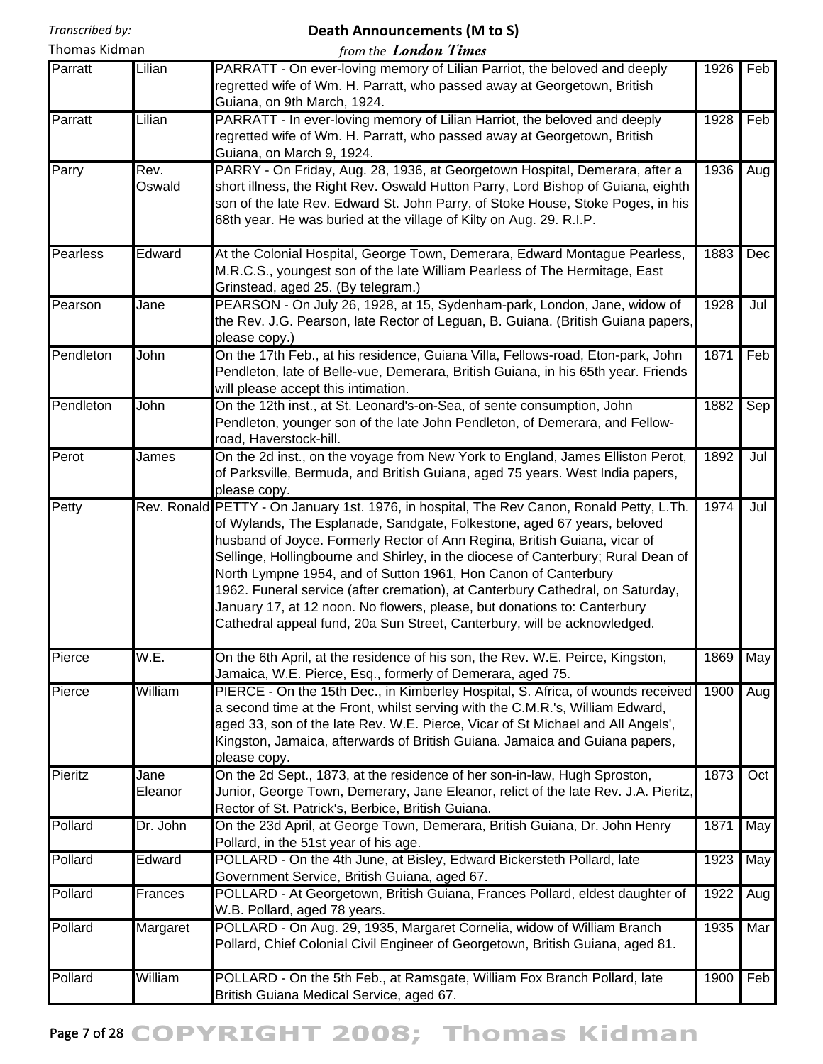# **Death Announcements (M to S)**

| Thomas Kidman   |                 | from the <b>London Times</b>                                                                                                                                                                                                                                                                                                                                                                                                                                                                                                                                                                                                                      |      |     |
|-----------------|-----------------|---------------------------------------------------------------------------------------------------------------------------------------------------------------------------------------------------------------------------------------------------------------------------------------------------------------------------------------------------------------------------------------------------------------------------------------------------------------------------------------------------------------------------------------------------------------------------------------------------------------------------------------------------|------|-----|
| Parratt         | Lilian          | PARRATT - On ever-loving memory of Lilian Parriot, the beloved and deeply<br>regretted wife of Wm. H. Parratt, who passed away at Georgetown, British<br>Guiana, on 9th March, 1924.                                                                                                                                                                                                                                                                                                                                                                                                                                                              | 1926 | Feb |
| Parratt         | Lilian          | PARRATT - In ever-loving memory of Lilian Harriot, the beloved and deeply<br>regretted wife of Wm. H. Parratt, who passed away at Georgetown, British<br>Guiana, on March 9, 1924.                                                                                                                                                                                                                                                                                                                                                                                                                                                                | 1928 | Feb |
| Parry           | Rev.<br>Oswald  | PARRY - On Friday, Aug. 28, 1936, at Georgetown Hospital, Demerara, after a<br>short illness, the Right Rev. Oswald Hutton Parry, Lord Bishop of Guiana, eighth<br>son of the late Rev. Edward St. John Parry, of Stoke House, Stoke Poges, in his<br>68th year. He was buried at the village of Kilty on Aug. 29. R.I.P.                                                                                                                                                                                                                                                                                                                         | 1936 | Aug |
| <b>Pearless</b> | Edward          | At the Colonial Hospital, George Town, Demerara, Edward Montague Pearless,<br>M.R.C.S., youngest son of the late William Pearless of The Hermitage, East<br>Grinstead, aged 25. (By telegram.)                                                                                                                                                                                                                                                                                                                                                                                                                                                    | 1883 | Dec |
| Pearson         | Jane            | PEARSON - On July 26, 1928, at 15, Sydenham-park, London, Jane, widow of<br>the Rev. J.G. Pearson, late Rector of Leguan, B. Guiana. (British Guiana papers,<br>please copy.)                                                                                                                                                                                                                                                                                                                                                                                                                                                                     | 1928 | Jul |
| Pendleton       | John            | On the 17th Feb., at his residence, Guiana Villa, Fellows-road, Eton-park, John<br>Pendleton, late of Belle-vue, Demerara, British Guiana, in his 65th year. Friends<br>will please accept this intimation.                                                                                                                                                                                                                                                                                                                                                                                                                                       | 1871 | Feb |
| Pendleton       | John            | On the 12th inst., at St. Leonard's-on-Sea, of sente consumption, John<br>Pendleton, younger son of the late John Pendleton, of Demerara, and Fellow-<br>road, Haverstock-hill.                                                                                                                                                                                                                                                                                                                                                                                                                                                                   | 1882 | Sep |
| Perot           | James           | On the 2d inst., on the voyage from New York to England, James Elliston Perot,<br>of Parksville, Bermuda, and British Guiana, aged 75 years. West India papers,<br>please copy.                                                                                                                                                                                                                                                                                                                                                                                                                                                                   | 1892 | Jul |
| Petty           |                 | Rev. Ronald PETTY - On January 1st. 1976, in hospital, The Rev Canon, Ronald Petty, L.Th.<br>of Wylands, The Esplanade, Sandgate, Folkestone, aged 67 years, beloved<br>husband of Joyce. Formerly Rector of Ann Regina, British Guiana, vicar of<br>Sellinge, Hollingbourne and Shirley, in the diocese of Canterbury; Rural Dean of<br>North Lympne 1954, and of Sutton 1961, Hon Canon of Canterbury<br>1962. Funeral service (after cremation), at Canterbury Cathedral, on Saturday,<br>January 17, at 12 noon. No flowers, please, but donations to: Canterbury<br>Cathedral appeal fund, 20a Sun Street, Canterbury, will be acknowledged. | 1974 | Jul |
| Pierce          | W.E.            | On the 6th April, at the residence of his son, the Rev. W.E. Peirce, Kingston,<br>Jamaica, W.E. Pierce, Esq., formerly of Demerara, aged 75.                                                                                                                                                                                                                                                                                                                                                                                                                                                                                                      | 1869 | May |
| Pierce          | William         | PIERCE - On the 15th Dec., in Kimberley Hospital, S. Africa, of wounds received<br>a second time at the Front, whilst serving with the C.M.R.'s, William Edward,<br>aged 33, son of the late Rev. W.E. Pierce, Vicar of St Michael and All Angels',<br>Kingston, Jamaica, afterwards of British Guiana. Jamaica and Guiana papers,<br>please copy.                                                                                                                                                                                                                                                                                                | 1900 | Aug |
| Pieritz         | Jane<br>Eleanor | On the 2d Sept., 1873, at the residence of her son-in-law, Hugh Sproston,<br>Junior, George Town, Demerary, Jane Eleanor, relict of the late Rev. J.A. Pieritz,<br>Rector of St. Patrick's, Berbice, British Guiana.                                                                                                                                                                                                                                                                                                                                                                                                                              | 1873 | Oct |
| Pollard         | Dr. John        | On the 23d April, at George Town, Demerara, British Guiana, Dr. John Henry<br>Pollard, in the 51st year of his age.                                                                                                                                                                                                                                                                                                                                                                                                                                                                                                                               | 1871 | May |
| Pollard         | Edward          | POLLARD - On the 4th June, at Bisley, Edward Bickersteth Pollard, late<br>Government Service, British Guiana, aged 67.                                                                                                                                                                                                                                                                                                                                                                                                                                                                                                                            | 1923 | May |
| Pollard         | Frances         | POLLARD - At Georgetown, British Guiana, Frances Pollard, eldest daughter of<br>W.B. Pollard, aged 78 years.                                                                                                                                                                                                                                                                                                                                                                                                                                                                                                                                      | 1922 | Aug |
| Pollard         | Margaret        | POLLARD - On Aug. 29, 1935, Margaret Cornelia, widow of William Branch<br>Pollard, Chief Colonial Civil Engineer of Georgetown, British Guiana, aged 81.                                                                                                                                                                                                                                                                                                                                                                                                                                                                                          | 1935 | Mar |
| Pollard         | William         | POLLARD - On the 5th Feb., at Ramsgate, William Fox Branch Pollard, late<br>British Guiana Medical Service, aged 67.                                                                                                                                                                                                                                                                                                                                                                                                                                                                                                                              | 1900 | Feb |

# Page 7 of 28 COPYRIGHT 2008; Thomas Kidman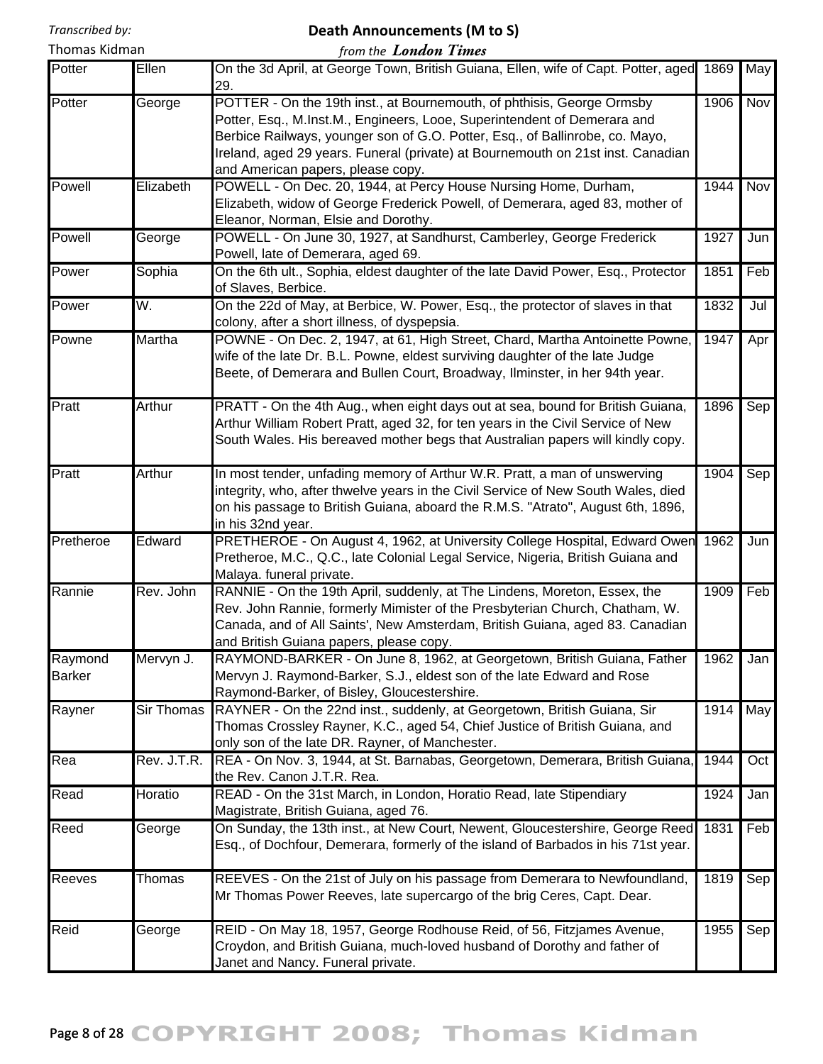# **Death Announcements (M to S)**

| Thomas Kidman            |                   | from the <b>London Times</b>                                                                                                                                                                                                                                                                                                                               |      |     |
|--------------------------|-------------------|------------------------------------------------------------------------------------------------------------------------------------------------------------------------------------------------------------------------------------------------------------------------------------------------------------------------------------------------------------|------|-----|
| Potter                   | Ellen             | On the 3d April, at George Town, British Guiana, Ellen, wife of Capt. Potter, aged<br>29.                                                                                                                                                                                                                                                                  | 1869 | May |
| Potter                   | George            | POTTER - On the 19th inst., at Bournemouth, of phthisis, George Ormsby<br>Potter, Esq., M.Inst.M., Engineers, Looe, Superintendent of Demerara and<br>Berbice Railways, younger son of G.O. Potter, Esq., of Ballinrobe, co. Mayo,<br>Ireland, aged 29 years. Funeral (private) at Bournemouth on 21st inst. Canadian<br>and American papers, please copy. | 1906 | Nov |
| Powell                   | Elizabeth         | POWELL - On Dec. 20, 1944, at Percy House Nursing Home, Durham,<br>Elizabeth, widow of George Frederick Powell, of Demerara, aged 83, mother of<br>Eleanor, Norman, Elsie and Dorothy.                                                                                                                                                                     | 1944 | Nov |
| Powell                   | George            | POWELL - On June 30, 1927, at Sandhurst, Camberley, George Frederick<br>Powell, late of Demerara, aged 69.                                                                                                                                                                                                                                                 | 1927 | Jun |
| Power                    | Sophia            | On the 6th ult., Sophia, eldest daughter of the late David Power, Esq., Protector<br>of Slaves, Berbice.                                                                                                                                                                                                                                                   | 1851 | Feb |
| Power                    | W.                | On the 22d of May, at Berbice, W. Power, Esq., the protector of slaves in that<br>colony, after a short illness, of dyspepsia.                                                                                                                                                                                                                             | 1832 | Jul |
| Powne                    | Martha            | POWNE - On Dec. 2, 1947, at 61, High Street, Chard, Martha Antoinette Powne,<br>wife of the late Dr. B.L. Powne, eldest surviving daughter of the late Judge<br>Beete, of Demerara and Bullen Court, Broadway, Ilminster, in her 94th year.                                                                                                                | 1947 | Apr |
| Pratt                    | Arthur            | PRATT - On the 4th Aug., when eight days out at sea, bound for British Guiana,<br>Arthur William Robert Pratt, aged 32, for ten years in the Civil Service of New<br>South Wales. His bereaved mother begs that Australian papers will kindly copy.                                                                                                        | 1896 | Sep |
| Pratt                    | Arthur            | In most tender, unfading memory of Arthur W.R. Pratt, a man of unswerving<br>integrity, who, after thwelve years in the Civil Service of New South Wales, died<br>on his passage to British Guiana, aboard the R.M.S. "Atrato", August 6th, 1896,<br>in his 32nd year.                                                                                     | 1904 | Sep |
| Pretheroe                | Edward            | PRETHEROE - On August 4, 1962, at University College Hospital, Edward Owen<br>Pretheroe, M.C., Q.C., late Colonial Legal Service, Nigeria, British Guiana and<br>Malaya. funeral private.                                                                                                                                                                  | 1962 | Jun |
| Rannie                   | Rev. John         | RANNIE - On the 19th April, suddenly, at The Lindens, Moreton, Essex, the<br>Rev. John Rannie, formerly Mimister of the Presbyterian Church, Chatham, W.<br>Canada, and of All Saints', New Amsterdam, British Guiana, aged 83. Canadian<br>and British Guiana papers, please copy.                                                                        | 1909 | Feb |
| Raymond<br><b>Barker</b> | Mervyn J.         | RAYMOND-BARKER - On June 8, 1962, at Georgetown, British Guiana, Father<br>Mervyn J. Raymond-Barker, S.J., eldest son of the late Edward and Rose<br>Raymond-Barker, of Bisley, Gloucestershire.                                                                                                                                                           | 1962 | Jan |
| Rayner                   | <b>Sir Thomas</b> | RAYNER - On the 22nd inst., suddenly, at Georgetown, British Guiana, Sir<br>Thomas Crossley Rayner, K.C., aged 54, Chief Justice of British Guiana, and<br>only son of the late DR. Rayner, of Manchester.                                                                                                                                                 | 1914 | May |
| Rea                      | Rev. J.T.R.       | REA - On Nov. 3, 1944, at St. Barnabas, Georgetown, Demerara, British Guiana,<br>the Rev. Canon J.T.R. Rea.                                                                                                                                                                                                                                                | 1944 | Oct |
| Read                     | Horatio           | READ - On the 31st March, in London, Horatio Read, late Stipendiary<br>Magistrate, British Guiana, aged 76.                                                                                                                                                                                                                                                | 1924 | Jan |
| Reed                     | George            | On Sunday, the 13th inst., at New Court, Newent, Gloucestershire, George Reed<br>Esq., of Dochfour, Demerara, formerly of the island of Barbados in his 71st year.                                                                                                                                                                                         | 1831 | Feb |
| <b>Reeves</b>            | Thomas            | REEVES - On the 21st of July on his passage from Demerara to Newfoundland,<br>Mr Thomas Power Reeves, late supercargo of the brig Ceres, Capt. Dear.                                                                                                                                                                                                       | 1819 | Sep |
| Reid                     | George            | REID - On May 18, 1957, George Rodhouse Reid, of 56, Fitzjames Avenue,<br>Croydon, and British Guiana, much-loved husband of Dorothy and father of<br>Janet and Nancy. Funeral private.                                                                                                                                                                    | 1955 | Sep |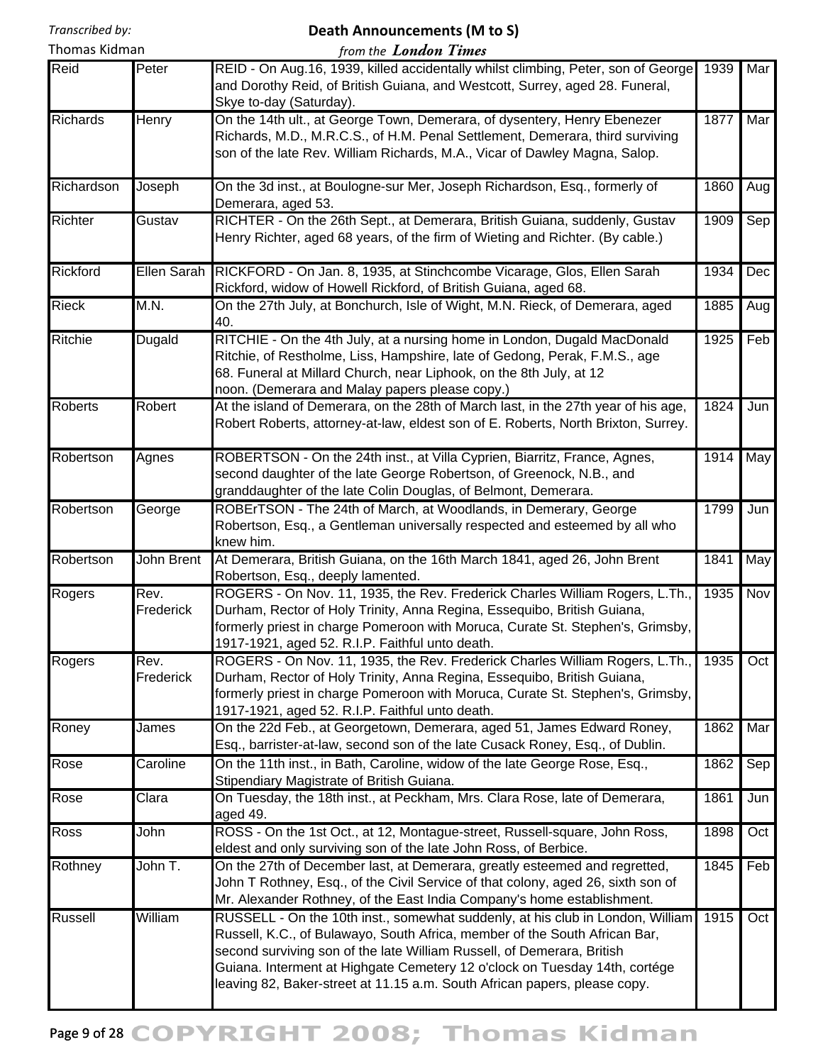#### **Death Announcements (M to S)** *from the London Times*

| Kidman |  |
|--------|--|
|        |  |

| Thomas Kidman   |                   | from the <b>London Times</b>                                                                                                                                                                                                                                                                                                                                                                      |      |     |
|-----------------|-------------------|---------------------------------------------------------------------------------------------------------------------------------------------------------------------------------------------------------------------------------------------------------------------------------------------------------------------------------------------------------------------------------------------------|------|-----|
| Reid            | Peter             | REID - On Aug.16, 1939, killed accidentally whilst climbing, Peter, son of George<br>and Dorothy Reid, of British Guiana, and Westcott, Surrey, aged 28. Funeral,<br>Skye to-day (Saturday).                                                                                                                                                                                                      | 1939 | Mar |
| <b>Richards</b> | Henry             | On the 14th ult., at George Town, Demerara, of dysentery, Henry Ebenezer<br>Richards, M.D., M.R.C.S., of H.M. Penal Settlement, Demerara, third surviving<br>son of the late Rev. William Richards, M.A., Vicar of Dawley Magna, Salop.                                                                                                                                                           | 1877 | Mar |
| Richardson      | Joseph            | On the 3d inst., at Boulogne-sur Mer, Joseph Richardson, Esq., formerly of<br>Demerara, aged 53.                                                                                                                                                                                                                                                                                                  | 1860 | Aug |
| Richter         | Gustav            | RICHTER - On the 26th Sept., at Demerara, British Guiana, suddenly, Gustav<br>Henry Richter, aged 68 years, of the firm of Wieting and Richter. (By cable.)                                                                                                                                                                                                                                       | 1909 | Sep |
| Rickford        | Ellen Sarah       | RICKFORD - On Jan. 8, 1935, at Stinchcombe Vicarage, Glos, Ellen Sarah<br>Rickford, widow of Howell Rickford, of British Guiana, aged 68.                                                                                                                                                                                                                                                         | 1934 | Dec |
| <b>Rieck</b>    | M.N.              | On the 27th July, at Bonchurch, Isle of Wight, M.N. Rieck, of Demerara, aged<br>40.                                                                                                                                                                                                                                                                                                               | 1885 | Aug |
| Ritchie         | <b>Dugald</b>     | RITCHIE - On the 4th July, at a nursing home in London, Dugald MacDonald<br>Ritchie, of Restholme, Liss, Hampshire, late of Gedong, Perak, F.M.S., age<br>68. Funeral at Millard Church, near Liphook, on the 8th July, at 12<br>noon. (Demerara and Malay papers please copy.)                                                                                                                   | 1925 | Feb |
| <b>Roberts</b>  | Robert            | At the island of Demerara, on the 28th of March last, in the 27th year of his age,<br>Robert Roberts, attorney-at-law, eldest son of E. Roberts, North Brixton, Surrey.                                                                                                                                                                                                                           | 1824 | Jun |
| Robertson       | Agnes             | ROBERTSON - On the 24th inst., at Villa Cyprien, Biarritz, France, Agnes,<br>second daughter of the late George Robertson, of Greenock, N.B., and<br>granddaughter of the late Colin Douglas, of Belmont, Demerara.                                                                                                                                                                               | 1914 | May |
| Robertson       | George            | ROBErTSON - The 24th of March, at Woodlands, in Demerary, George<br>Robertson, Esq., a Gentleman universally respected and esteemed by all who<br>knew him.                                                                                                                                                                                                                                       | 1799 | Jun |
| Robertson       | John Brent        | At Demerara, British Guiana, on the 16th March 1841, aged 26, John Brent<br>Robertson, Esq., deeply lamented.                                                                                                                                                                                                                                                                                     | 1841 | May |
| Rogers          | Rev.<br>Frederick | ROGERS - On Nov. 11, 1935, the Rev. Frederick Charles William Rogers, L.Th.,<br>Durham, Rector of Holy Trinity, Anna Regina, Essequibo, British Guiana,<br>formerly priest in charge Pomeroon with Moruca, Curate St. Stephen's, Grimsby,<br>1917-1921, aged 52. R.I.P. Faithful unto death.                                                                                                      | 1935 | Nov |
| Rogers          | Rev.<br>Frederick | ROGERS - On Nov. 11, 1935, the Rev. Frederick Charles William Rogers, L.Th.,<br>Durham, Rector of Holy Trinity, Anna Regina, Essequibo, British Guiana,<br>formerly priest in charge Pomeroon with Moruca, Curate St. Stephen's, Grimsby,<br>1917-1921, aged 52. R.I.P. Faithful unto death.                                                                                                      | 1935 | Oct |
| Roney           | James             | On the 22d Feb., at Georgetown, Demerara, aged 51, James Edward Roney,<br>Esq., barrister-at-law, second son of the late Cusack Roney, Esq., of Dublin.                                                                                                                                                                                                                                           | 1862 | Mar |
| Rose            | Caroline          | On the 11th inst., in Bath, Caroline, widow of the late George Rose, Esq.,<br>Stipendiary Magistrate of British Guiana.                                                                                                                                                                                                                                                                           | 1862 | Sep |
| Rose            | Clara             | On Tuesday, the 18th inst., at Peckham, Mrs. Clara Rose, late of Demerara,<br>aged 49.                                                                                                                                                                                                                                                                                                            | 1861 | Jun |
| Ross            | John              | ROSS - On the 1st Oct., at 12, Montague-street, Russell-square, John Ross,<br>eldest and only surviving son of the late John Ross, of Berbice.                                                                                                                                                                                                                                                    | 1898 | Oct |
| Rothney         | John T.           | On the 27th of December last, at Demerara, greatly esteemed and regretted,<br>John T Rothney, Esq., of the Civil Service of that colony, aged 26, sixth son of<br>Mr. Alexander Rothney, of the East India Company's home establishment.                                                                                                                                                          | 1845 | Feb |
| Russell         | William           | RUSSELL - On the 10th inst., somewhat suddenly, at his club in London, William<br>Russell, K.C., of Bulawayo, South Africa, member of the South African Bar,<br>second surviving son of the late William Russell, of Demerara, British<br>Guiana. Interment at Highgate Cemetery 12 o'clock on Tuesday 14th, cortége<br>leaving 82, Baker-street at 11.15 a.m. South African papers, please copy. | 1915 | Oct |

# Page 9 of 28 COPYRIGHT 2008; Thomas Kidman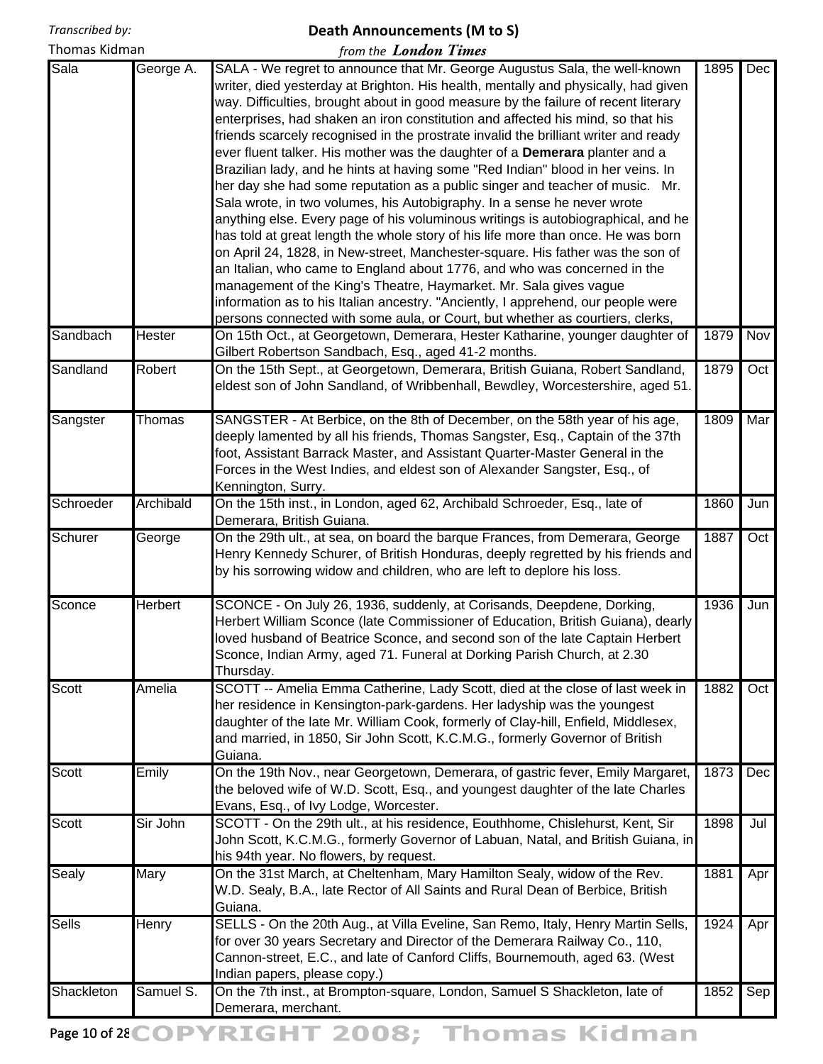## **Death Announcements (M to S)**

*from the London Times*

| Sala       | George A. | SALA - We regret to announce that Mr. George Augustus Sala, the well-known<br>writer, died yesterday at Brighton. His health, mentally and physically, had given<br>way. Difficulties, brought about in good measure by the failure of recent literary<br>enterprises, had shaken an iron constitution and affected his mind, so that his<br>friends scarcely recognised in the prostrate invalid the brilliant writer and ready<br>ever fluent talker. His mother was the daughter of a Demerara planter and a<br>Brazilian lady, and he hints at having some "Red Indian" blood in her veins. In<br>her day she had some reputation as a public singer and teacher of music. Mr.<br>Sala wrote, in two volumes, his Autobigraphy. In a sense he never wrote<br>anything else. Every page of his voluminous writings is autobiographical, and he<br>has told at great length the whole story of his life more than once. He was born<br>on April 24, 1828, in New-street, Manchester-square. His father was the son of<br>an Italian, who came to England about 1776, and who was concerned in the<br>management of the King's Theatre, Haymarket. Mr. Sala gives vague<br>information as to his Italian ancestry. "Anciently, I apprehend, our people were<br>persons connected with some aula, or Court, but whether as courtiers, clerks, | 1895 | Dec |
|------------|-----------|-----------------------------------------------------------------------------------------------------------------------------------------------------------------------------------------------------------------------------------------------------------------------------------------------------------------------------------------------------------------------------------------------------------------------------------------------------------------------------------------------------------------------------------------------------------------------------------------------------------------------------------------------------------------------------------------------------------------------------------------------------------------------------------------------------------------------------------------------------------------------------------------------------------------------------------------------------------------------------------------------------------------------------------------------------------------------------------------------------------------------------------------------------------------------------------------------------------------------------------------------------------------------------------------------------------------------------------------------|------|-----|
| Sandbach   | Hester    | On 15th Oct., at Georgetown, Demerara, Hester Katharine, younger daughter of<br>Gilbert Robertson Sandbach, Esq., aged 41-2 months.                                                                                                                                                                                                                                                                                                                                                                                                                                                                                                                                                                                                                                                                                                                                                                                                                                                                                                                                                                                                                                                                                                                                                                                                           | 1879 | Nov |
| Sandland   | Robert    | On the 15th Sept., at Georgetown, Demerara, British Guiana, Robert Sandland,<br>eldest son of John Sandland, of Wribbenhall, Bewdley, Worcestershire, aged 51.                                                                                                                                                                                                                                                                                                                                                                                                                                                                                                                                                                                                                                                                                                                                                                                                                                                                                                                                                                                                                                                                                                                                                                                | 1879 | Oct |
| Sangster   | Thomas    | SANGSTER - At Berbice, on the 8th of December, on the 58th year of his age,<br>deeply lamented by all his friends, Thomas Sangster, Esq., Captain of the 37th<br>foot, Assistant Barrack Master, and Assistant Quarter-Master General in the<br>Forces in the West Indies, and eldest son of Alexander Sangster, Esq., of<br>Kennington, Surry.                                                                                                                                                                                                                                                                                                                                                                                                                                                                                                                                                                                                                                                                                                                                                                                                                                                                                                                                                                                               | 1809 | Mar |
| Schroeder  | Archibald | On the 15th inst., in London, aged 62, Archibald Schroeder, Esq., late of<br>Demerara, British Guiana.                                                                                                                                                                                                                                                                                                                                                                                                                                                                                                                                                                                                                                                                                                                                                                                                                                                                                                                                                                                                                                                                                                                                                                                                                                        | 1860 | Jun |
| Schurer    | George    | On the 29th ult., at sea, on board the barque Frances, from Demerara, George<br>Henry Kennedy Schurer, of British Honduras, deeply regretted by his friends and<br>by his sorrowing widow and children, who are left to deplore his loss.                                                                                                                                                                                                                                                                                                                                                                                                                                                                                                                                                                                                                                                                                                                                                                                                                                                                                                                                                                                                                                                                                                     | 1887 | Oct |
| Sconce     | Herbert   | SCONCE - On July 26, 1936, suddenly, at Corisands, Deepdene, Dorking,<br>Herbert William Sconce (late Commissioner of Education, British Guiana), dearly<br>loved husband of Beatrice Sconce, and second son of the late Captain Herbert<br>Sconce, Indian Army, aged 71. Funeral at Dorking Parish Church, at 2.30<br>Thursday.                                                                                                                                                                                                                                                                                                                                                                                                                                                                                                                                                                                                                                                                                                                                                                                                                                                                                                                                                                                                              | 1936 | Jun |
| Scott      | Amelia    | SCOTT -- Amelia Emma Catherine, Lady Scott, died at the close of last week in<br>her residence in Kensington-park-gardens. Her ladyship was the youngest<br>daughter of the late Mr. William Cook, formerly of Clay-hill, Enfield, Middlesex,<br>and married, in 1850, Sir John Scott, K.C.M.G., formerly Governor of British<br>Guiana.                                                                                                                                                                                                                                                                                                                                                                                                                                                                                                                                                                                                                                                                                                                                                                                                                                                                                                                                                                                                      | 1882 | Oct |
| Scott      | Emily     | On the 19th Nov., near Georgetown, Demerara, of gastric fever, Emily Margaret,<br>the beloved wife of W.D. Scott, Esq., and youngest daughter of the late Charles<br>Evans, Esq., of Ivy Lodge, Worcester.                                                                                                                                                                                                                                                                                                                                                                                                                                                                                                                                                                                                                                                                                                                                                                                                                                                                                                                                                                                                                                                                                                                                    | 1873 | Dec |
| Scott      | Sir John  | SCOTT - On the 29th ult., at his residence, Eouthhome, Chislehurst, Kent, Sir<br>John Scott, K.C.M.G., formerly Governor of Labuan, Natal, and British Guiana, in<br>his 94th year. No flowers, by request.                                                                                                                                                                                                                                                                                                                                                                                                                                                                                                                                                                                                                                                                                                                                                                                                                                                                                                                                                                                                                                                                                                                                   | 1898 | Jul |
| Sealy      | Mary      | On the 31st March, at Cheltenham, Mary Hamilton Sealy, widow of the Rev.<br>W.D. Sealy, B.A., late Rector of All Saints and Rural Dean of Berbice, British<br>Guiana.                                                                                                                                                                                                                                                                                                                                                                                                                                                                                                                                                                                                                                                                                                                                                                                                                                                                                                                                                                                                                                                                                                                                                                         | 1881 | Apr |
| Sells      | Henry     | SELLS - On the 20th Aug., at Villa Eveline, San Remo, Italy, Henry Martin Sells,<br>for over 30 years Secretary and Director of the Demerara Railway Co., 110,<br>Cannon-street, E.C., and late of Canford Cliffs, Bournemouth, aged 63. (West<br>Indian papers, please copy.)                                                                                                                                                                                                                                                                                                                                                                                                                                                                                                                                                                                                                                                                                                                                                                                                                                                                                                                                                                                                                                                                | 1924 | Apr |
| Shackleton | Samuel S. | On the 7th inst., at Brompton-square, London, Samuel S Shackleton, late of<br>Demerara, merchant.                                                                                                                                                                                                                                                                                                                                                                                                                                                                                                                                                                                                                                                                                                                                                                                                                                                                                                                                                                                                                                                                                                                                                                                                                                             | 1852 | Sep |

Page 10 of 28 COPYRIGHT 2008; Thomas Kidman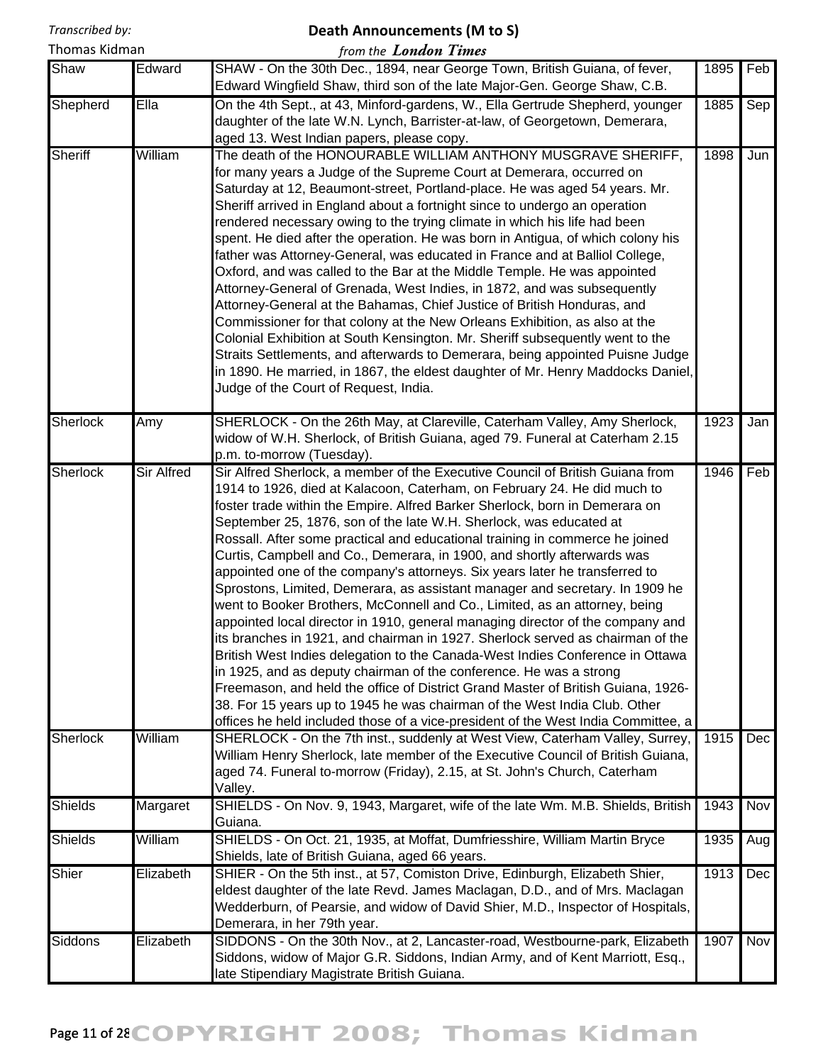#### **Death Announcements (M to S)**

| Thomas Kidman   |            | from the London Times                                                                                                                                                                                                                                                                                                                                                                                                                                                                                                                                                                                                                                                                                                                                                                                                                                                                                                                                                                                                                                                                                                                                                                                                                                                                                    |      |     |
|-----------------|------------|----------------------------------------------------------------------------------------------------------------------------------------------------------------------------------------------------------------------------------------------------------------------------------------------------------------------------------------------------------------------------------------------------------------------------------------------------------------------------------------------------------------------------------------------------------------------------------------------------------------------------------------------------------------------------------------------------------------------------------------------------------------------------------------------------------------------------------------------------------------------------------------------------------------------------------------------------------------------------------------------------------------------------------------------------------------------------------------------------------------------------------------------------------------------------------------------------------------------------------------------------------------------------------------------------------|------|-----|
| Shaw            | Edward     | SHAW - On the 30th Dec., 1894, near George Town, British Guiana, of fever,<br>Edward Wingfield Shaw, third son of the late Major-Gen. George Shaw, C.B.                                                                                                                                                                                                                                                                                                                                                                                                                                                                                                                                                                                                                                                                                                                                                                                                                                                                                                                                                                                                                                                                                                                                                  | 1895 | Feb |
| Shepherd        | Ella       | On the 4th Sept., at 43, Minford-gardens, W., Ella Gertrude Shepherd, younger<br>daughter of the late W.N. Lynch, Barrister-at-law, of Georgetown, Demerara,<br>aged 13. West Indian papers, please copy.                                                                                                                                                                                                                                                                                                                                                                                                                                                                                                                                                                                                                                                                                                                                                                                                                                                                                                                                                                                                                                                                                                | 1885 | Sep |
| <b>Sheriff</b>  | William    | The death of the HONOURABLE WILLIAM ANTHONY MUSGRAVE SHERIFF,<br>for many years a Judge of the Supreme Court at Demerara, occurred on<br>Saturday at 12, Beaumont-street, Portland-place. He was aged 54 years. Mr.<br>Sheriff arrived in England about a fortnight since to undergo an operation<br>rendered necessary owing to the trying climate in which his life had been<br>spent. He died after the operation. He was born in Antigua, of which colony his<br>father was Attorney-General, was educated in France and at Balliol College,<br>Oxford, and was called to the Bar at the Middle Temple. He was appointed<br>Attorney-General of Grenada, West Indies, in 1872, and was subsequently<br>Attorney-General at the Bahamas, Chief Justice of British Honduras, and<br>Commissioner for that colony at the New Orleans Exhibition, as also at the<br>Colonial Exhibition at South Kensington. Mr. Sheriff subsequently went to the<br>Straits Settlements, and afterwards to Demerara, being appointed Puisne Judge<br>in 1890. He married, in 1867, the eldest daughter of Mr. Henry Maddocks Daniel,<br>Judge of the Court of Request, India.                                                                                                                                           | 1898 | Jun |
| Sherlock        | Amy        | SHERLOCK - On the 26th May, at Clareville, Caterham Valley, Amy Sherlock,<br>widow of W.H. Sherlock, of British Guiana, aged 79. Funeral at Caterham 2.15<br>p.m. to-morrow (Tuesday).                                                                                                                                                                                                                                                                                                                                                                                                                                                                                                                                                                                                                                                                                                                                                                                                                                                                                                                                                                                                                                                                                                                   | 1923 | Jan |
| <b>Sherlock</b> | Sir Alfred | Sir Alfred Sherlock, a member of the Executive Council of British Guiana from<br>1914 to 1926, died at Kalacoon, Caterham, on February 24. He did much to<br>foster trade within the Empire. Alfred Barker Sherlock, born in Demerara on<br>September 25, 1876, son of the late W.H. Sherlock, was educated at<br>Rossall. After some practical and educational training in commerce he joined<br>Curtis, Campbell and Co., Demerara, in 1900, and shortly afterwards was<br>appointed one of the company's attorneys. Six years later he transferred to<br>Sprostons, Limited, Demerara, as assistant manager and secretary. In 1909 he<br>went to Booker Brothers, McConnell and Co., Limited, as an attorney, being<br>appointed local director in 1910, general managing director of the company and<br>lits branches in 1921, and chairman in 1927. Sherlock served as chairman of the<br>British West Indies delegation to the Canada-West Indies Conference in Ottawa<br>in 1925, and as deputy chairman of the conference. He was a strong<br>Freemason, and held the office of District Grand Master of British Guiana, 1926-<br>38. For 15 years up to 1945 he was chairman of the West India Club. Other<br>offices he held included those of a vice-president of the West India Committee, a | 1946 | Feb |
| <b>Sherlock</b> | William    | SHERLOCK - On the 7th inst., suddenly at West View, Caterham Valley, Surrey,<br>William Henry Sherlock, late member of the Executive Council of British Guiana,<br>aged 74. Funeral to-morrow (Friday), 2.15, at St. John's Church, Caterham<br>Valley.                                                                                                                                                                                                                                                                                                                                                                                                                                                                                                                                                                                                                                                                                                                                                                                                                                                                                                                                                                                                                                                  | 1915 | Dec |
| <b>Shields</b>  | Margaret   | SHIELDS - On Nov. 9, 1943, Margaret, wife of the late Wm. M.B. Shields, British<br>Guiana.                                                                                                                                                                                                                                                                                                                                                                                                                                                                                                                                                                                                                                                                                                                                                                                                                                                                                                                                                                                                                                                                                                                                                                                                               | 1943 | Nov |
| Shields         | William    | SHIELDS - On Oct. 21, 1935, at Moffat, Dumfriesshire, William Martin Bryce<br>Shields, late of British Guiana, aged 66 years.                                                                                                                                                                                                                                                                                                                                                                                                                                                                                                                                                                                                                                                                                                                                                                                                                                                                                                                                                                                                                                                                                                                                                                            | 1935 | Aug |
| Shier           | Elizabeth  | SHIER - On the 5th inst., at 57, Comiston Drive, Edinburgh, Elizabeth Shier,<br>eldest daughter of the late Revd. James Maclagan, D.D., and of Mrs. Maclagan<br>Wedderburn, of Pearsie, and widow of David Shier, M.D., Inspector of Hospitals,<br>Demerara, in her 79th year.                                                                                                                                                                                                                                                                                                                                                                                                                                                                                                                                                                                                                                                                                                                                                                                                                                                                                                                                                                                                                           | 1913 | Dec |
| Siddons         | Elizabeth  | SIDDONS - On the 30th Nov., at 2, Lancaster-road, Westbourne-park, Elizabeth<br>Siddons, widow of Major G.R. Siddons, Indian Army, and of Kent Marriott, Esq.,<br>late Stipendiary Magistrate British Guiana.                                                                                                                                                                                                                                                                                                                                                                                                                                                                                                                                                                                                                                                                                                                                                                                                                                                                                                                                                                                                                                                                                            | 1907 | Nov |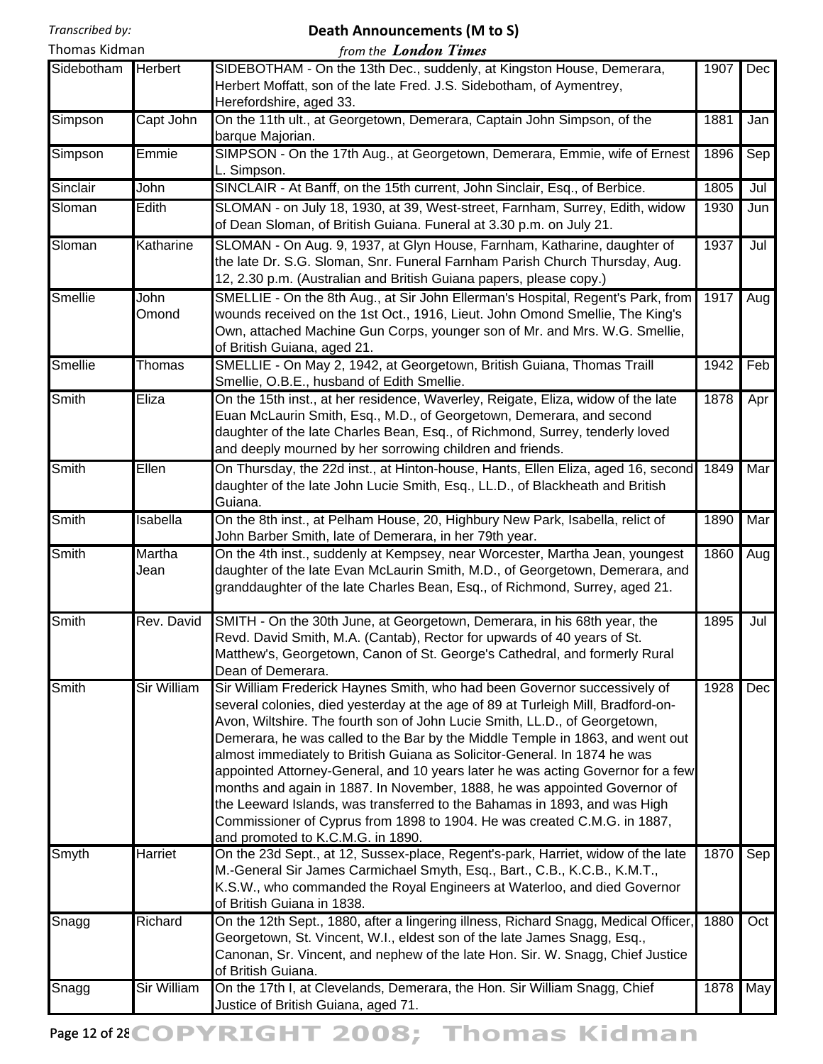#### **Death Announcements (M to S)**

| Thomas Kidman |                    | from the <b>London Times</b>                                                                                                                                                                                                                                                                                                                                                                                                                                                                                                                                                                                                                                                                                                                                            |      |            |
|---------------|--------------------|-------------------------------------------------------------------------------------------------------------------------------------------------------------------------------------------------------------------------------------------------------------------------------------------------------------------------------------------------------------------------------------------------------------------------------------------------------------------------------------------------------------------------------------------------------------------------------------------------------------------------------------------------------------------------------------------------------------------------------------------------------------------------|------|------------|
| Sidebotham    | <b>Herbert</b>     | SIDEBOTHAM - On the 13th Dec., suddenly, at Kingston House, Demerara,<br>Herbert Moffatt, son of the late Fred. J.S. Sidebotham, of Aymentrey,<br>Herefordshire, aged 33.                                                                                                                                                                                                                                                                                                                                                                                                                                                                                                                                                                                               | 1907 | <b>Dec</b> |
| Simpson       | Capt John          | On the 11th ult., at Georgetown, Demerara, Captain John Simpson, of the<br>barque Majorian.                                                                                                                                                                                                                                                                                                                                                                                                                                                                                                                                                                                                                                                                             | 1881 | Jan        |
| Simpson       | Emmie              | SIMPSON - On the 17th Aug., at Georgetown, Demerara, Emmie, wife of Ernest<br>L. Simpson.                                                                                                                                                                                                                                                                                                                                                                                                                                                                                                                                                                                                                                                                               | 1896 | Sep        |
| Sinclair      | John               | SINCLAIR - At Banff, on the 15th current, John Sinclair, Esq., of Berbice.                                                                                                                                                                                                                                                                                                                                                                                                                                                                                                                                                                                                                                                                                              | 1805 | Jul        |
| Sloman        | Edith              | SLOMAN - on July 18, 1930, at 39, West-street, Farnham, Surrey, Edith, widow<br>of Dean Sloman, of British Guiana. Funeral at 3.30 p.m. on July 21.                                                                                                                                                                                                                                                                                                                                                                                                                                                                                                                                                                                                                     | 1930 | Jun        |
| Sloman        | Katharine          | SLOMAN - On Aug. 9, 1937, at Glyn House, Farnham, Katharine, daughter of<br>the late Dr. S.G. Sloman, Snr. Funeral Farnham Parish Church Thursday, Aug.<br>12, 2.30 p.m. (Australian and British Guiana papers, please copy.)                                                                                                                                                                                                                                                                                                                                                                                                                                                                                                                                           | 1937 | Jul        |
| Smellie       | John<br>Omond      | SMELLIE - On the 8th Aug., at Sir John Ellerman's Hospital, Regent's Park, from<br>wounds received on the 1st Oct., 1916, Lieut. John Omond Smellie, The King's<br>Own, attached Machine Gun Corps, younger son of Mr. and Mrs. W.G. Smellie,<br>of British Guiana, aged 21.                                                                                                                                                                                                                                                                                                                                                                                                                                                                                            | 1917 | Aug        |
| Smellie       | Thomas             | SMELLIE - On May 2, 1942, at Georgetown, British Guiana, Thomas Traill<br>Smellie, O.B.E., husband of Edith Smellie.                                                                                                                                                                                                                                                                                                                                                                                                                                                                                                                                                                                                                                                    | 1942 | Feb        |
| <b>Smith</b>  | Eliza              | On the 15th inst., at her residence, Waverley, Reigate, Eliza, widow of the late<br>Euan McLaurin Smith, Esq., M.D., of Georgetown, Demerara, and second<br>daughter of the late Charles Bean, Esq., of Richmond, Surrey, tenderly loved<br>and deeply mourned by her sorrowing children and friends.                                                                                                                                                                                                                                                                                                                                                                                                                                                                   | 1878 | Apr        |
| <b>Smith</b>  | Ellen              | On Thursday, the 22d inst., at Hinton-house, Hants, Ellen Eliza, aged 16, second<br>daughter of the late John Lucie Smith, Esq., LL.D., of Blackheath and British<br>Guiana.                                                                                                                                                                                                                                                                                                                                                                                                                                                                                                                                                                                            | 1849 | Mar        |
| <b>Smith</b>  | Isabella           | On the 8th inst., at Pelham House, 20, Highbury New Park, Isabella, relict of<br>John Barber Smith, late of Demerara, in her 79th year.                                                                                                                                                                                                                                                                                                                                                                                                                                                                                                                                                                                                                                 | 1890 | Mar        |
| <b>Smith</b>  | Martha<br>Jean     | On the 4th inst., suddenly at Kempsey, near Worcester, Martha Jean, youngest<br>daughter of the late Evan McLaurin Smith, M.D., of Georgetown, Demerara, and<br>granddaughter of the late Charles Bean, Esq., of Richmond, Surrey, aged 21.                                                                                                                                                                                                                                                                                                                                                                                                                                                                                                                             | 1860 | Aug        |
| Smith         | Rev. David         | SMITH - On the 30th June, at Georgetown, Demerara, in his 68th year, the<br>Revd. David Smith, M.A. (Cantab), Rector for upwards of 40 years of St.<br>Matthew's, Georgetown, Canon of St. George's Cathedral, and formerly Rural<br>Dean of Demerara.                                                                                                                                                                                                                                                                                                                                                                                                                                                                                                                  | 1895 | Jul        |
| Smith         | <b>Sir William</b> | Sir William Frederick Haynes Smith, who had been Governor successively of<br>several colonies, died yesterday at the age of 89 at Turleigh Mill, Bradford-on-<br>Avon, Wiltshire. The fourth son of John Lucie Smith, LL.D., of Georgetown,<br>Demerara, he was called to the Bar by the Middle Temple in 1863, and went out<br>almost immediately to British Guiana as Solicitor-General. In 1874 he was<br>appointed Attorney-General, and 10 years later he was acting Governor for a few<br>months and again in 1887. In November, 1888, he was appointed Governor of<br>the Leeward Islands, was transferred to the Bahamas in 1893, and was High<br>Commissioner of Cyprus from 1898 to 1904. He was created C.M.G. in 1887,<br>and promoted to K.C.M.G. in 1890. | 1928 | Dec        |
| Smyth         | Harriet            | On the 23d Sept., at 12, Sussex-place, Regent's-park, Harriet, widow of the late<br>M.-General Sir James Carmichael Smyth, Esq., Bart., C.B., K.C.B., K.M.T.,<br>K.S.W., who commanded the Royal Engineers at Waterloo, and died Governor<br>of British Guiana in 1838.                                                                                                                                                                                                                                                                                                                                                                                                                                                                                                 | 1870 | Sep        |
| Snagg         | Richard            | On the 12th Sept., 1880, after a lingering illness, Richard Snagg, Medical Officer,<br>Georgetown, St. Vincent, W.I., eldest son of the late James Snagg, Esq.,<br>Canonan, Sr. Vincent, and nephew of the late Hon. Sir. W. Snagg, Chief Justice<br>of British Guiana.                                                                                                                                                                                                                                                                                                                                                                                                                                                                                                 | 1880 | Oct        |
| Snagg         | Sir William        | On the 17th I, at Clevelands, Demerara, the Hon. Sir William Snagg, Chief<br>Justice of British Guiana, aged 71.                                                                                                                                                                                                                                                                                                                                                                                                                                                                                                                                                                                                                                                        | 1878 | May        |

Page 12 of 28 COPYRIGHT 2008; Thomas Kidman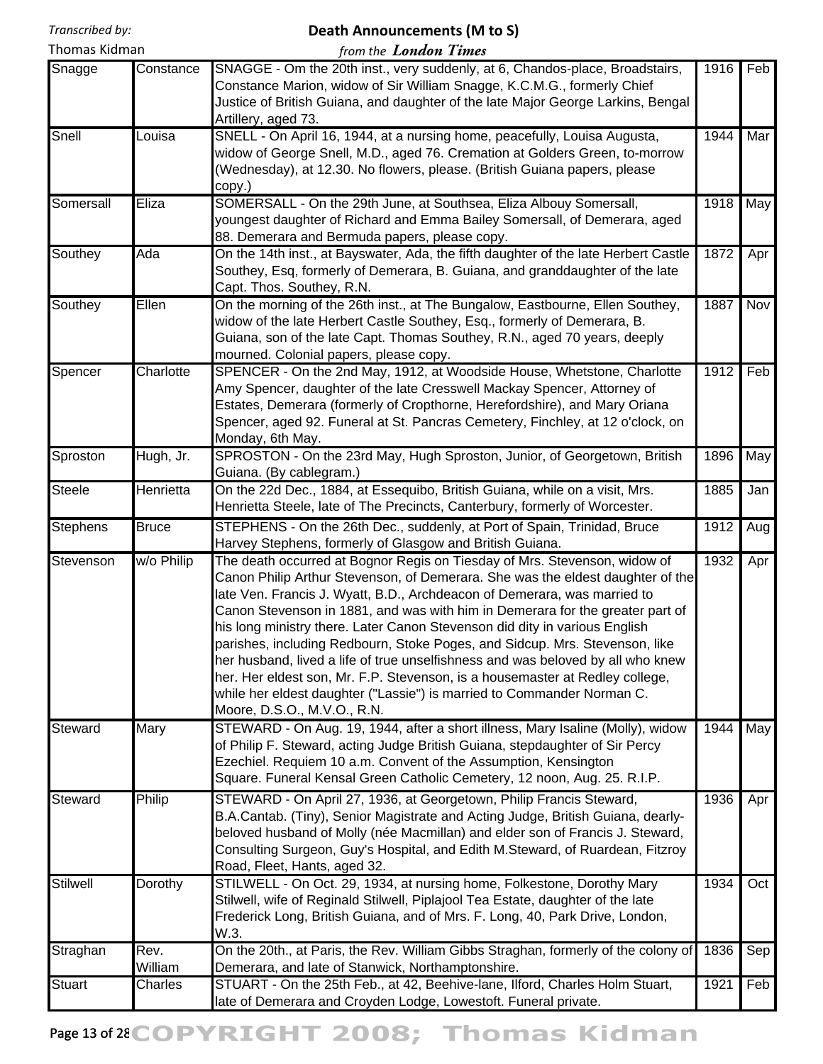#### **Death Announcements (M to S)**

| Thomas Kidman   |                 | from the London Times                                                                                                                                                                                                                                                                                                                                                                                                                                                                                                                                                                                                                                                                                                                                             |      |     |
|-----------------|-----------------|-------------------------------------------------------------------------------------------------------------------------------------------------------------------------------------------------------------------------------------------------------------------------------------------------------------------------------------------------------------------------------------------------------------------------------------------------------------------------------------------------------------------------------------------------------------------------------------------------------------------------------------------------------------------------------------------------------------------------------------------------------------------|------|-----|
| Snagge          | Constance       | SNAGGE - Om the 20th inst., very suddenly, at 6, Chandos-place, Broadstairs,<br>Constance Marion, widow of Sir William Snagge, K.C.M.G., formerly Chief<br>Justice of British Guiana, and daughter of the late Major George Larkins, Bengal<br>Artillery, aged 73.                                                                                                                                                                                                                                                                                                                                                                                                                                                                                                | 1916 | Feb |
| Snell           | Louisa          | SNELL - On April 16, 1944, at a nursing home, peacefully, Louisa Augusta,<br>widow of George Snell, M.D., aged 76. Cremation at Golders Green, to-morrow<br>(Wednesday), at 12.30. No flowers, please. (British Guiana papers, please<br>copy.)                                                                                                                                                                                                                                                                                                                                                                                                                                                                                                                   | 1944 | Mar |
| Somersall       | Eliza           | SOMERSALL - On the 29th June, at Southsea, Eliza Albouy Somersall,<br>youngest daughter of Richard and Emma Bailey Somersall, of Demerara, aged<br>88. Demerara and Bermuda papers, please copy.                                                                                                                                                                                                                                                                                                                                                                                                                                                                                                                                                                  | 1918 | May |
| Southey         | Ada             | On the 14th inst., at Bayswater, Ada, the fifth daughter of the late Herbert Castle<br>Southey, Esq, formerly of Demerara, B. Guiana, and granddaughter of the late<br>Capt. Thos. Southey, R.N.                                                                                                                                                                                                                                                                                                                                                                                                                                                                                                                                                                  | 1872 | Apr |
| Southey         | Ellen           | On the morning of the 26th inst., at The Bungalow, Eastbourne, Ellen Southey,<br>widow of the late Herbert Castle Southey, Esq., formerly of Demerara, B.<br>Guiana, son of the late Capt. Thomas Southey, R.N., aged 70 years, deeply<br>mourned. Colonial papers, please copy.                                                                                                                                                                                                                                                                                                                                                                                                                                                                                  | 1887 | Nov |
| Spencer         | Charlotte       | SPENCER - On the 2nd May, 1912, at Woodside House, Whetstone, Charlotte<br>Amy Spencer, daughter of the late Cresswell Mackay Spencer, Attorney of<br>Estates, Demerara (formerly of Cropthorne, Herefordshire), and Mary Oriana<br>Spencer, aged 92. Funeral at St. Pancras Cemetery, Finchley, at 12 o'clock, on<br>Monday, 6th May.                                                                                                                                                                                                                                                                                                                                                                                                                            | 1912 | Feb |
| Sproston        | Hugh, Jr.       | SPROSTON - On the 23rd May, Hugh Sproston, Junior, of Georgetown, British<br>Guiana. (By cablegram.)                                                                                                                                                                                                                                                                                                                                                                                                                                                                                                                                                                                                                                                              | 1896 | May |
| <b>Steele</b>   | Henrietta       | On the 22d Dec., 1884, at Essequibo, British Guiana, while on a visit, Mrs.<br>Henrietta Steele, late of The Precincts, Canterbury, formerly of Worcester.                                                                                                                                                                                                                                                                                                                                                                                                                                                                                                                                                                                                        | 1885 | Jan |
| <b>Stephens</b> | <b>Bruce</b>    | STEPHENS - On the 26th Dec., suddenly, at Port of Spain, Trinidad, Bruce<br>Harvey Stephens, formerly of Glasgow and British Guiana.                                                                                                                                                                                                                                                                                                                                                                                                                                                                                                                                                                                                                              | 1912 | Aug |
| Stevenson       | w/o Philip      | The death occurred at Bognor Regis on Tiesday of Mrs. Stevenson, widow of<br>Canon Philip Arthur Stevenson, of Demerara. She was the eldest daughter of the<br>late Ven. Francis J. Wyatt, B.D., Archdeacon of Demerara, was married to<br>Canon Stevenson in 1881, and was with him in Demerara for the greater part of<br>his long ministry there. Later Canon Stevenson did dity in various English<br>parishes, including Redbourn, Stoke Poges, and Sidcup. Mrs. Stevenson, like<br>her husband, lived a life of true unselfishness and was beloved by all who knew<br>her. Her eldest son, Mr. F.P. Stevenson, is a housemaster at Redley college,<br>while her eldest daughter ("Lassie") is married to Commander Norman C.<br>Moore, D.S.O., M.V.O., R.N. | 1932 | Apr |
| Steward         | Mary            | STEWARD - On Aug. 19, 1944, after a short illness, Mary Isaline (Molly), widow<br>of Philip F. Steward, acting Judge British Guiana, stepdaughter of Sir Percy<br>Ezechiel. Requiem 10 a.m. Convent of the Assumption, Kensington<br>Square. Funeral Kensal Green Catholic Cemetery, 12 noon, Aug. 25. R.I.P.                                                                                                                                                                                                                                                                                                                                                                                                                                                     | 1944 | May |
| Steward         | Philip          | STEWARD - On April 27, 1936, at Georgetown, Philip Francis Steward,<br>B.A.Cantab. (Tiny), Senior Magistrate and Acting Judge, British Guiana, dearly-<br>beloved husband of Molly (née Macmillan) and elder son of Francis J. Steward,<br>Consulting Surgeon, Guy's Hospital, and Edith M.Steward, of Ruardean, Fitzroy<br>Road, Fleet, Hants, aged 32.                                                                                                                                                                                                                                                                                                                                                                                                          | 1936 | Apr |
| Stilwell        | Dorothy         | STILWELL - On Oct. 29, 1934, at nursing home, Folkestone, Dorothy Mary<br>Stilwell, wife of Reginald Stilwell, Piplajool Tea Estate, daughter of the late<br>Frederick Long, British Guiana, and of Mrs. F. Long, 40, Park Drive, London,<br>W.3.                                                                                                                                                                                                                                                                                                                                                                                                                                                                                                                 | 1934 | Oct |
| Straghan        | Rev.<br>William | On the 20th., at Paris, the Rev. William Gibbs Straghan, formerly of the colony of<br>Demerara, and late of Stanwick, Northamptonshire.                                                                                                                                                                                                                                                                                                                                                                                                                                                                                                                                                                                                                           | 1836 | Sep |
| <b>Stuart</b>   | Charles         | STUART - On the 25th Feb., at 42, Beehive-lane, Ilford, Charles Holm Stuart,<br>late of Demerara and Croyden Lodge, Lowestoft. Funeral private.                                                                                                                                                                                                                                                                                                                                                                                                                                                                                                                                                                                                                   | 1921 | Feb |

# Page 13 of 28 COPYRIGHT 2008; Thomas Kidman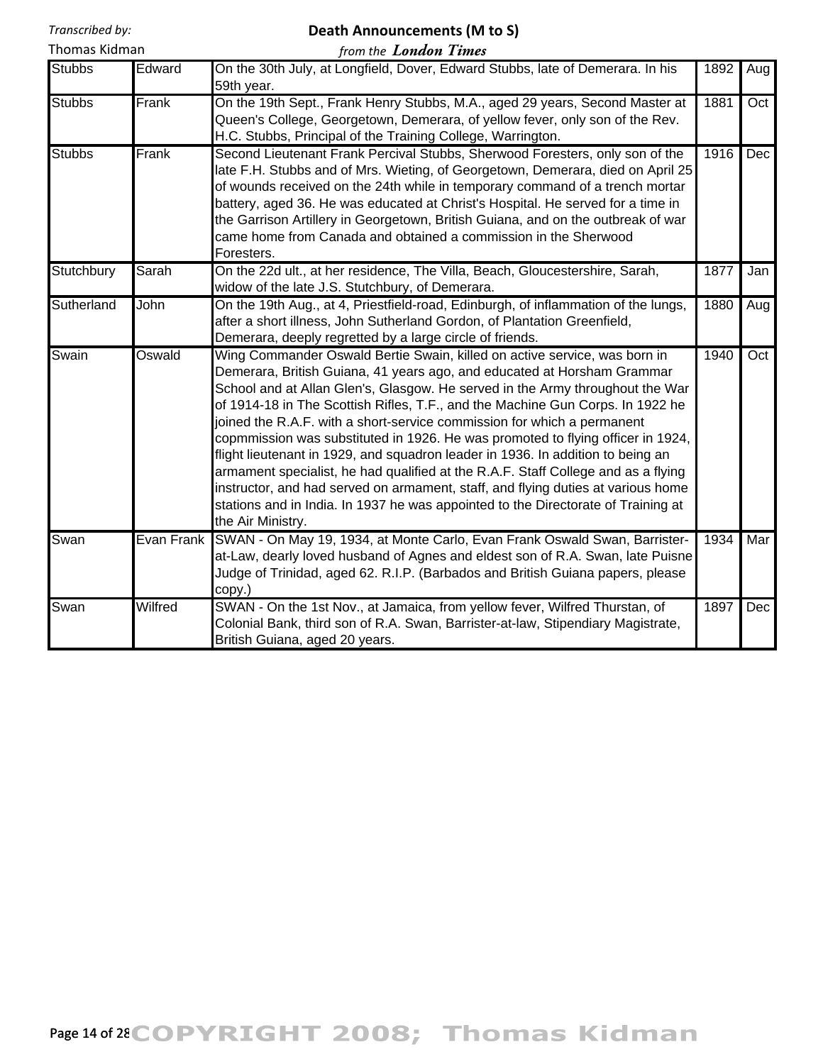# **Death Announcements (M to S)**

| Thomas Kidman |        | from the <b>London Times</b>                                                                 |          |  |
|---------------|--------|----------------------------------------------------------------------------------------------|----------|--|
| <b>Stubbs</b> | Edward | On the 30th July, at Longfield, Dover, Edward Stubbs, late of Demerara. In his<br>59th year. | 1892 Aug |  |

|               |            | 59th year.                                                                                                                                                                                                                                                                                                                                                                                                                                                                                                                                                                                                                                                                                                                                                                                                                                                  |      |     |
|---------------|------------|-------------------------------------------------------------------------------------------------------------------------------------------------------------------------------------------------------------------------------------------------------------------------------------------------------------------------------------------------------------------------------------------------------------------------------------------------------------------------------------------------------------------------------------------------------------------------------------------------------------------------------------------------------------------------------------------------------------------------------------------------------------------------------------------------------------------------------------------------------------|------|-----|
| <b>Stubbs</b> | Frank      | On the 19th Sept., Frank Henry Stubbs, M.A., aged 29 years, Second Master at<br>Queen's College, Georgetown, Demerara, of yellow fever, only son of the Rev.<br>H.C. Stubbs, Principal of the Training College, Warrington.                                                                                                                                                                                                                                                                                                                                                                                                                                                                                                                                                                                                                                 | 1881 | Oct |
| <b>Stubbs</b> | Frank      | Second Lieutenant Frank Percival Stubbs, Sherwood Foresters, only son of the<br>late F.H. Stubbs and of Mrs. Wieting, of Georgetown, Demerara, died on April 25<br>of wounds received on the 24th while in temporary command of a trench mortar<br>battery, aged 36. He was educated at Christ's Hospital. He served for a time in<br>the Garrison Artillery in Georgetown, British Guiana, and on the outbreak of war<br>came home from Canada and obtained a commission in the Sherwood<br>Foresters.                                                                                                                                                                                                                                                                                                                                                     | 1916 | Dec |
| Stutchbury    | Sarah      | On the 22d ult., at her residence, The Villa, Beach, Gloucestershire, Sarah,<br>widow of the late J.S. Stutchbury, of Demerara.                                                                                                                                                                                                                                                                                                                                                                                                                                                                                                                                                                                                                                                                                                                             | 1877 | Jan |
| Sutherland    | John       | On the 19th Aug., at 4, Priestfield-road, Edinburgh, of inflammation of the lungs,<br>after a short illness, John Sutherland Gordon, of Plantation Greenfield,<br>Demerara, deeply regretted by a large circle of friends.                                                                                                                                                                                                                                                                                                                                                                                                                                                                                                                                                                                                                                  | 1880 | Aug |
| Swain         | Oswald     | Wing Commander Oswald Bertie Swain, killed on active service, was born in<br>Demerara, British Guiana, 41 years ago, and educated at Horsham Grammar<br>School and at Allan Glen's, Glasgow. He served in the Army throughout the War<br>of 1914-18 in The Scottish Rifles, T.F., and the Machine Gun Corps. In 1922 he<br>joined the R.A.F. with a short-service commission for which a permanent<br>copmmission was substituted in 1926. He was promoted to flying officer in 1924,<br>flight lieutenant in 1929, and squadron leader in 1936. In addition to being an<br>armament specialist, he had qualified at the R.A.F. Staff College and as a flying<br>instructor, and had served on armament, staff, and flying duties at various home<br>stations and in India. In 1937 he was appointed to the Directorate of Training at<br>the Air Ministry. | 1940 | Oct |
| Swan          | Evan Frank | SWAN - On May 19, 1934, at Monte Carlo, Evan Frank Oswald Swan, Barrister-<br>at-Law, dearly loved husband of Agnes and eldest son of R.A. Swan, late Puisne<br>Judge of Trinidad, aged 62. R.I.P. (Barbados and British Guiana papers, please<br>copy.)                                                                                                                                                                                                                                                                                                                                                                                                                                                                                                                                                                                                    | 1934 | Mar |
| Swan          | Wilfred    | SWAN - On the 1st Nov., at Jamaica, from yellow fever, Wilfred Thurstan, of<br>Colonial Bank, third son of R.A. Swan, Barrister-at-law, Stipendiary Magistrate,<br>British Guiana, aged 20 years.                                                                                                                                                                                                                                                                                                                                                                                                                                                                                                                                                                                                                                                           | 1897 | Dec |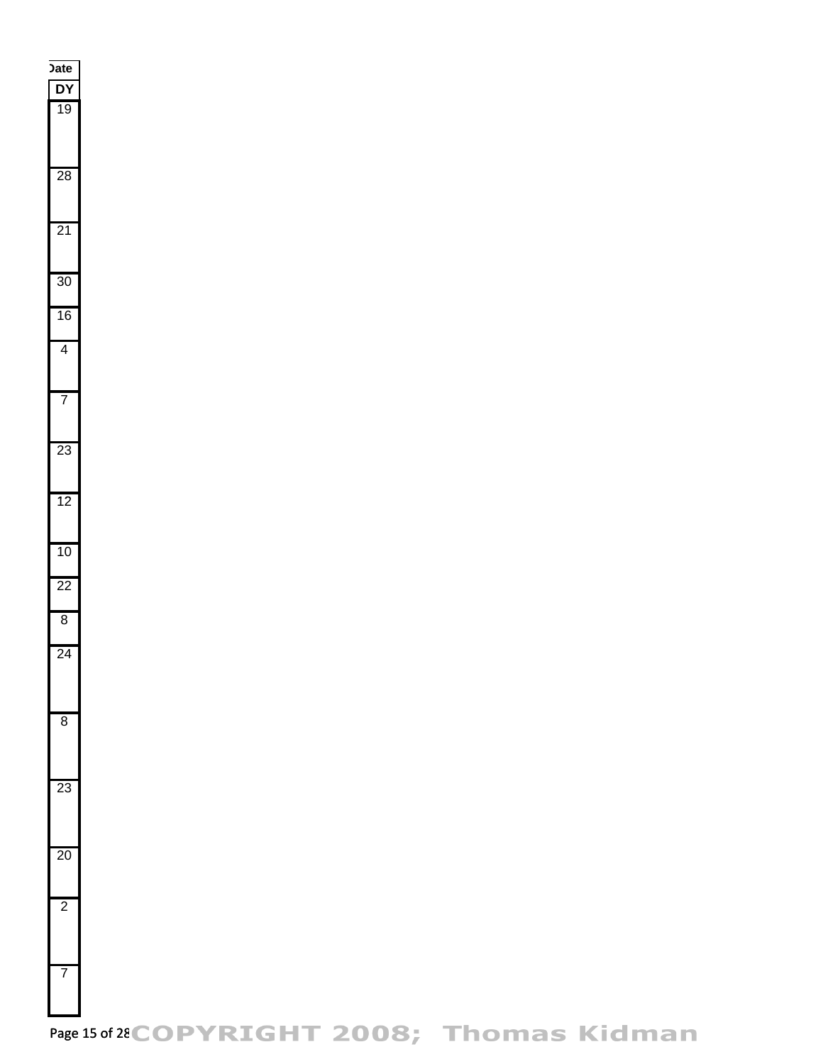

Page 15 of 28 COPYRIGHT 2008; Thomas Kidman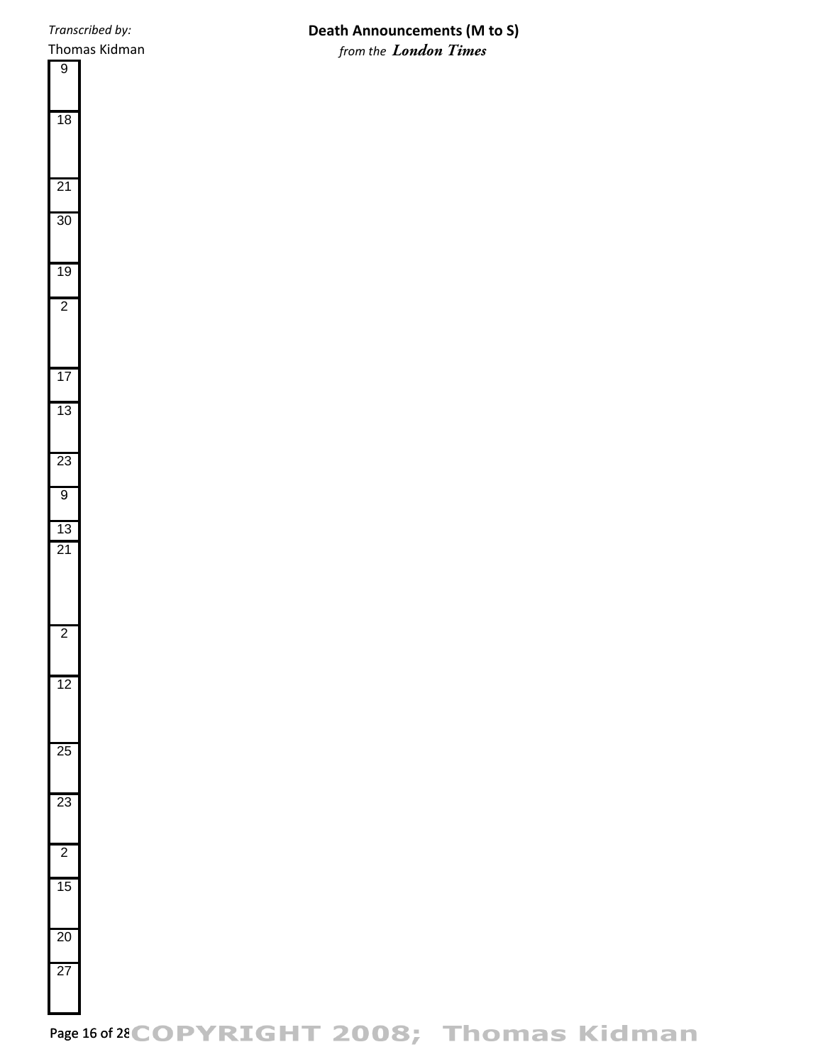# **Death Announcements (M to S)** *from the London Times*

Page 16 of 28 COPYRIGHT 2008; Thomas Kidman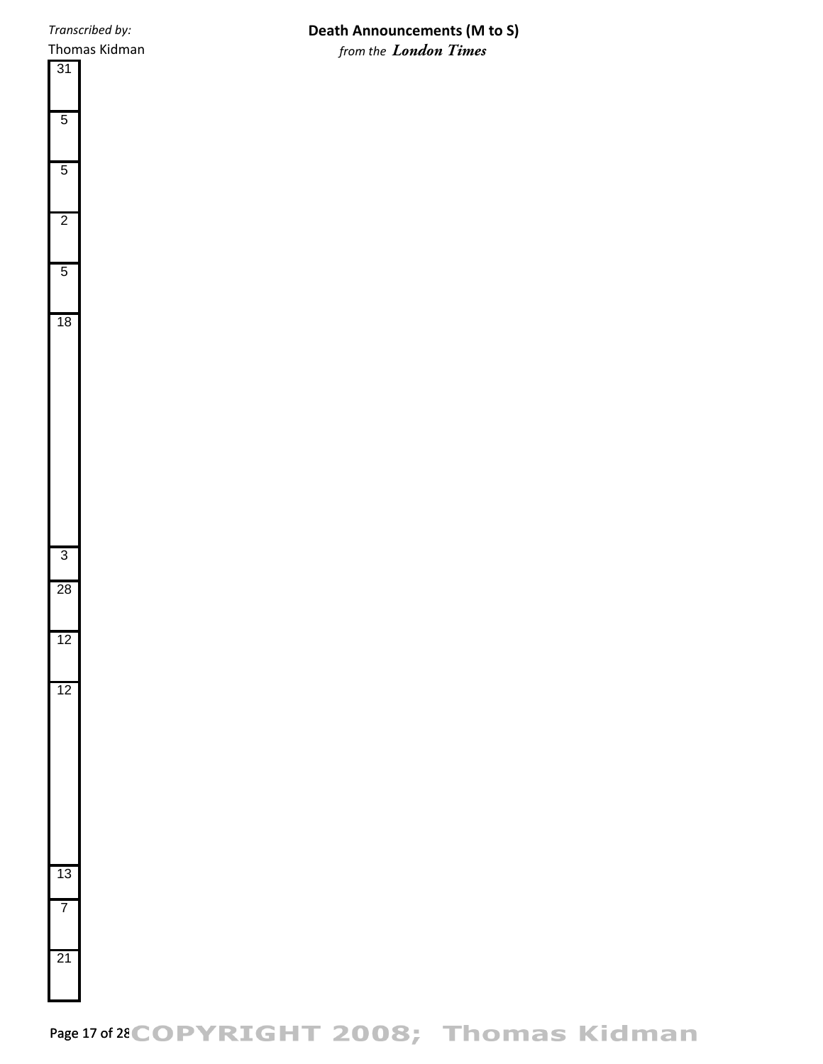Thomas Kidman

## **Death Announcements (M to S)** *from the London Times*

# Page 17 of 28 COPYRIGHT 2008; Thomas Kidman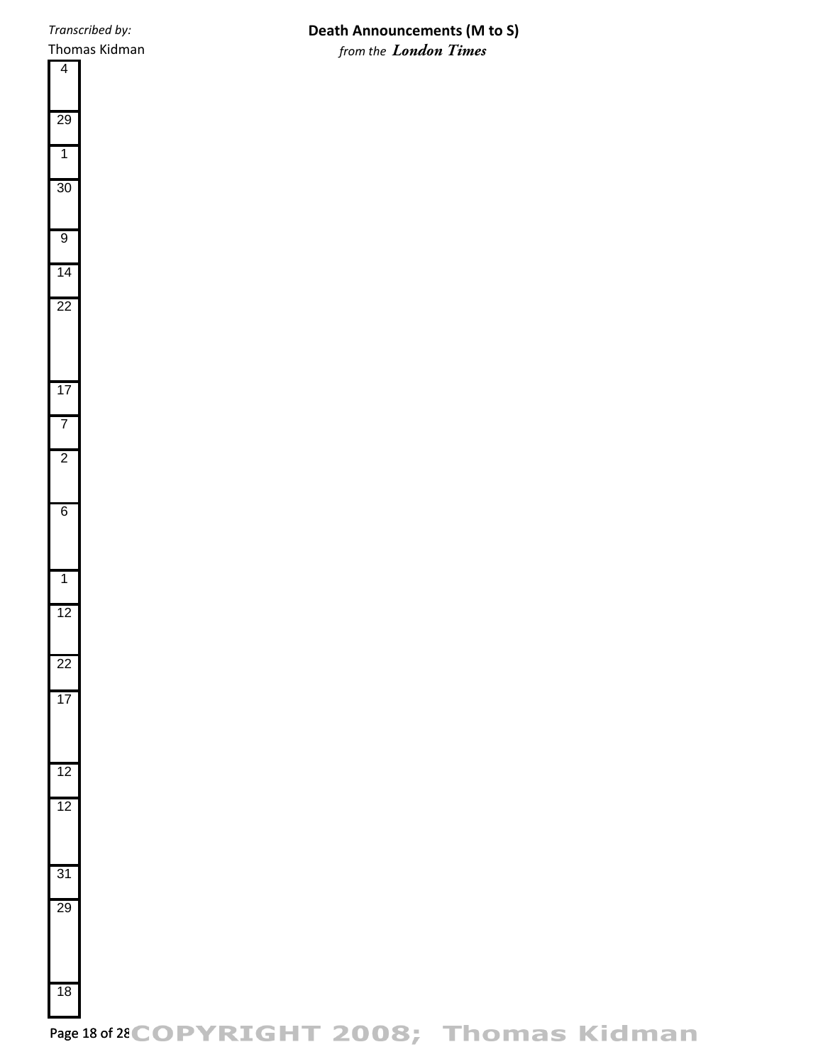# **Death Announcements (M to S)** *from the London Times*

Page 18 of 28 COPYRIGHT 2008; Thomas Kidman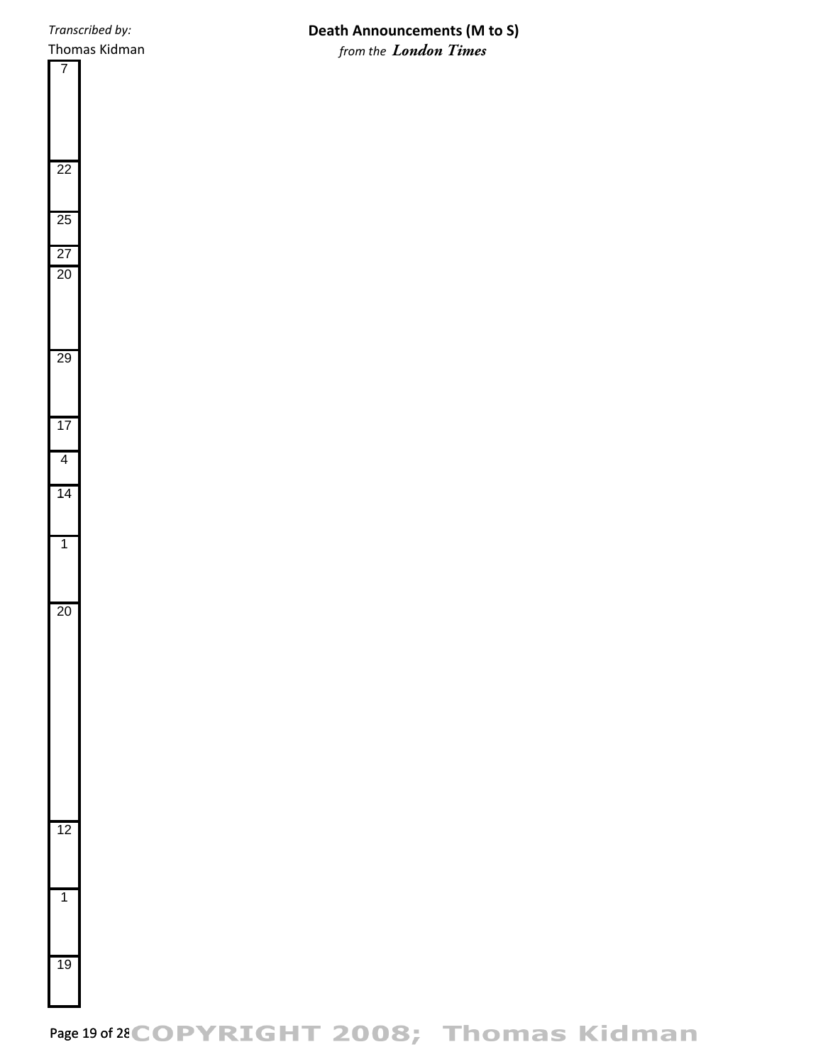# **Death Announcements (M to S)** *from the London Times*



Page 19 of 28 COPYRIGHT 2008; Thomas Kidman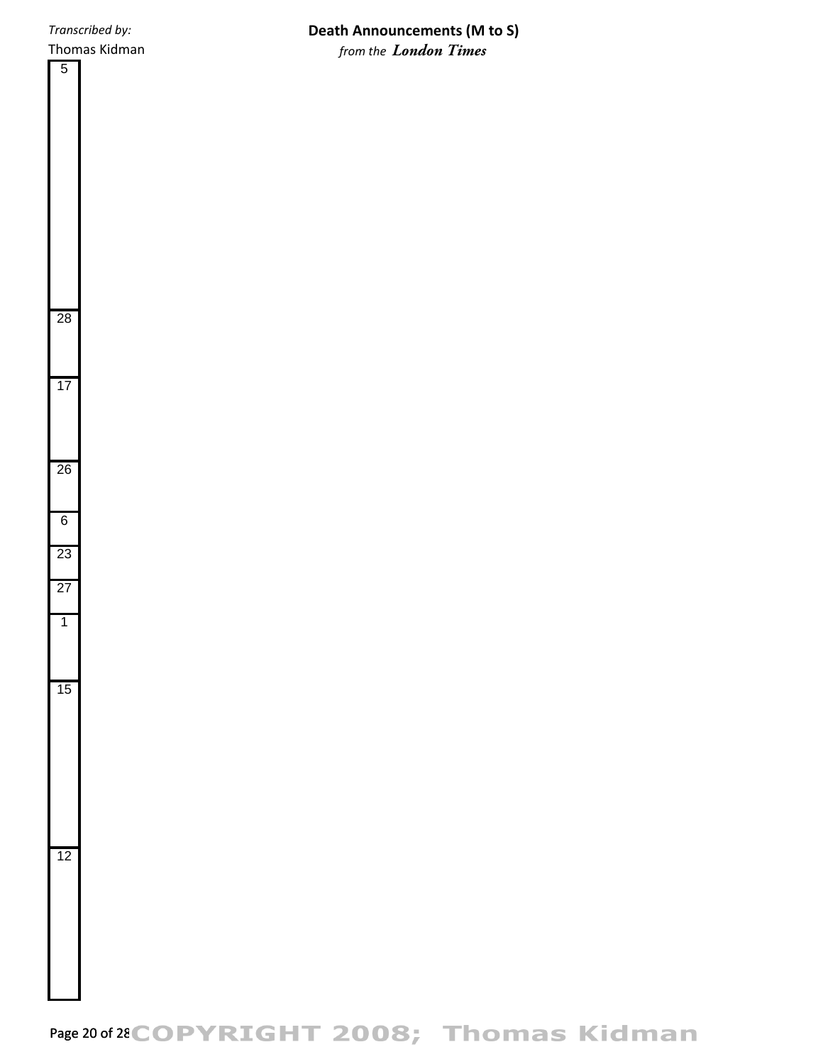# **Death Announcements (M to S)** *from the London Times*

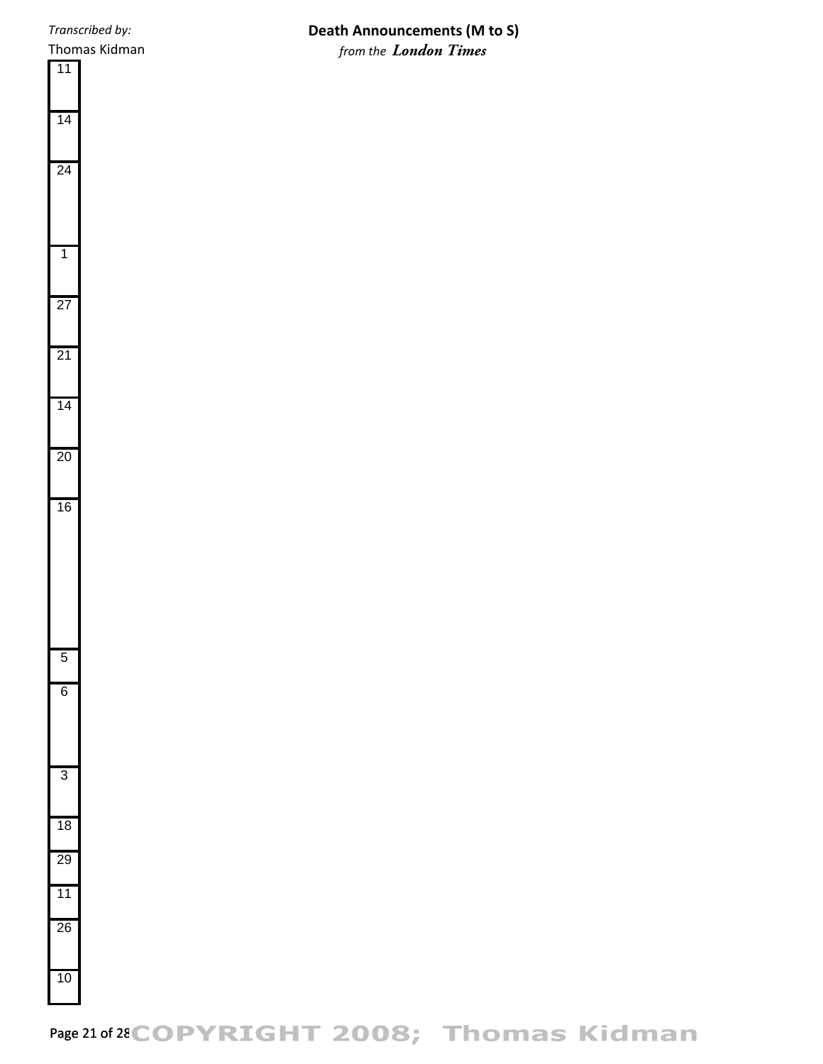# **Death Announcements (M to S)** *from the London Times*

# Page 21 of 28 COPYRIGHT 2008; Thomas Kidman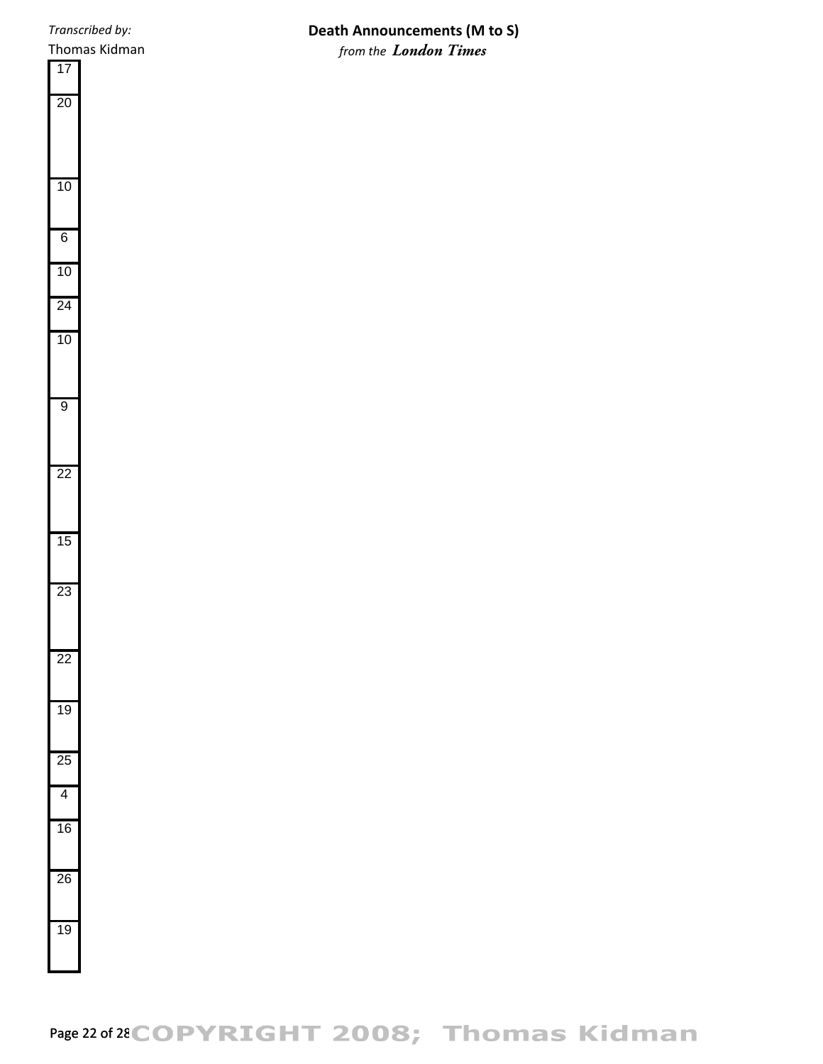## **Death Announcements (M to S)** *from the London Times*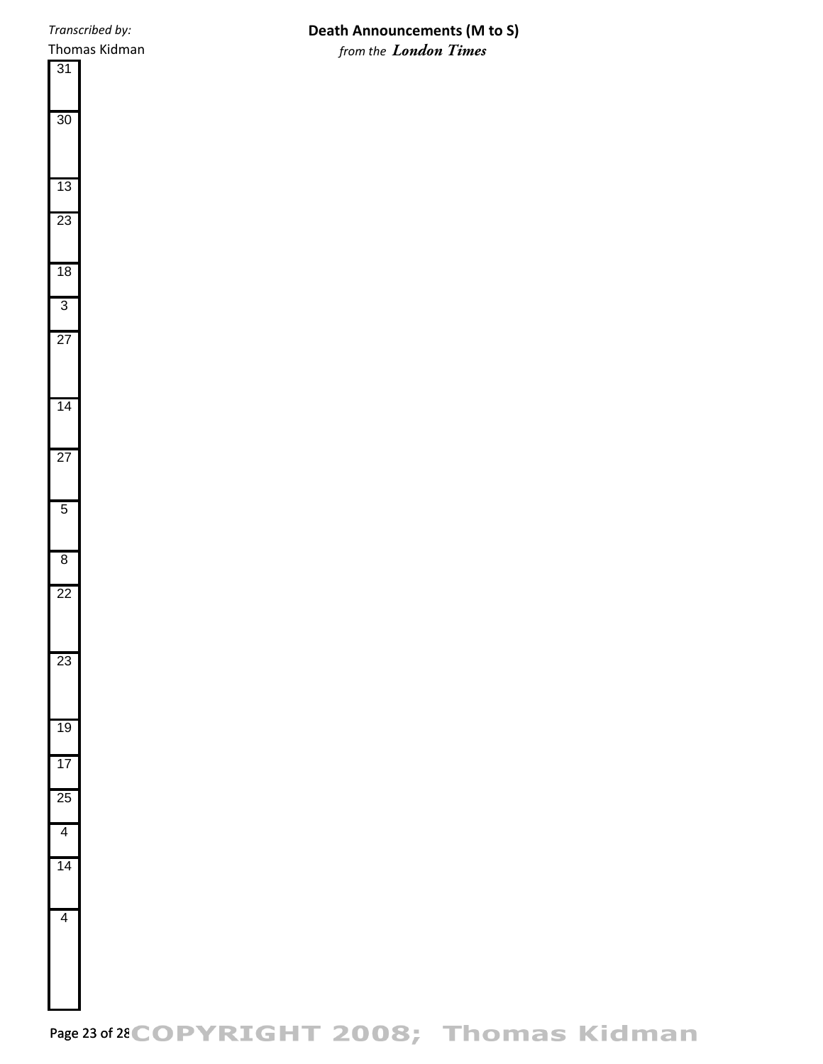## **Death Announcements (M to S)** *from the London Times*

Page 23 of 28 COPYRIGHT 2008; Thomas Kidman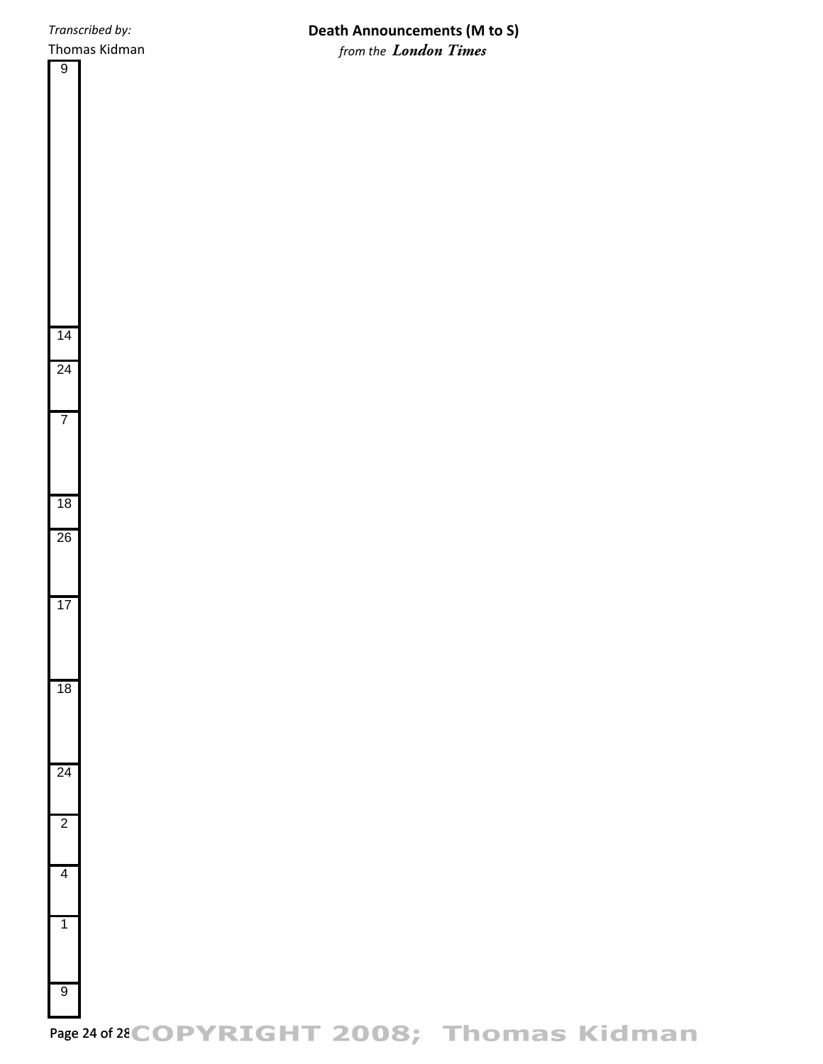**Death Announcements (M to S)** *from the London Times*



Page 24 of 28 COPYRIGHT 2008; Thomas Kidman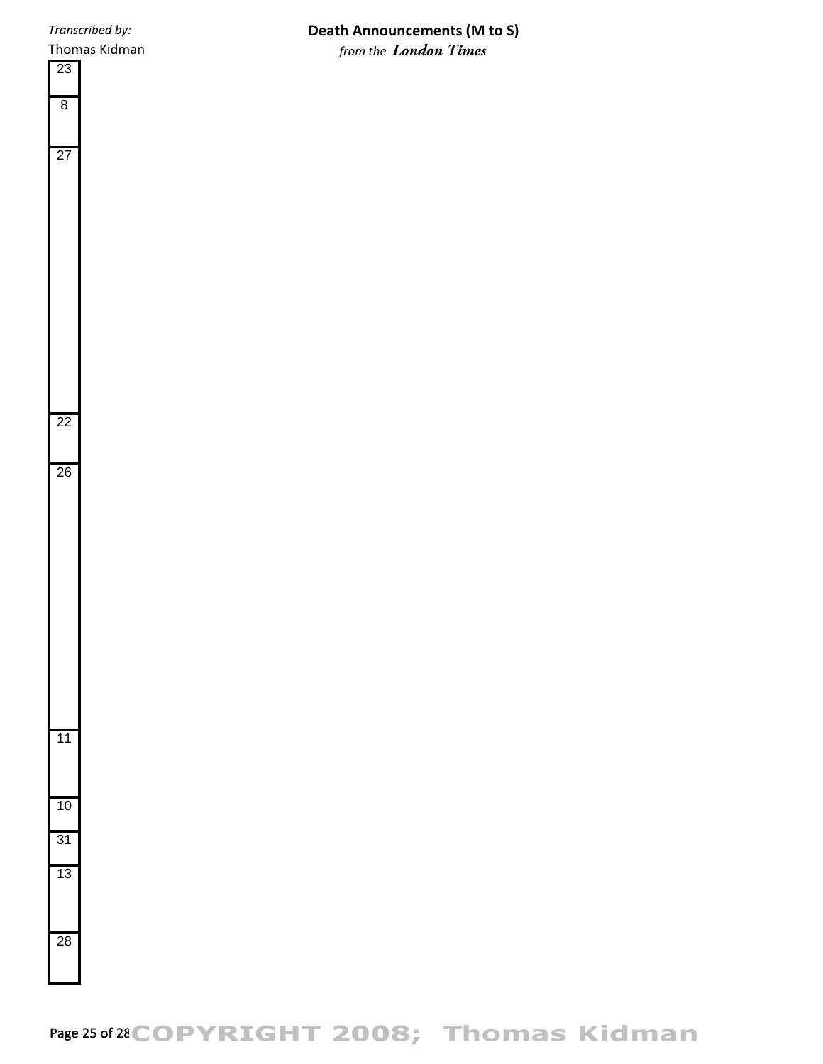Thomas Kidman

# **Death Announcements (M to S)** *from the London Times*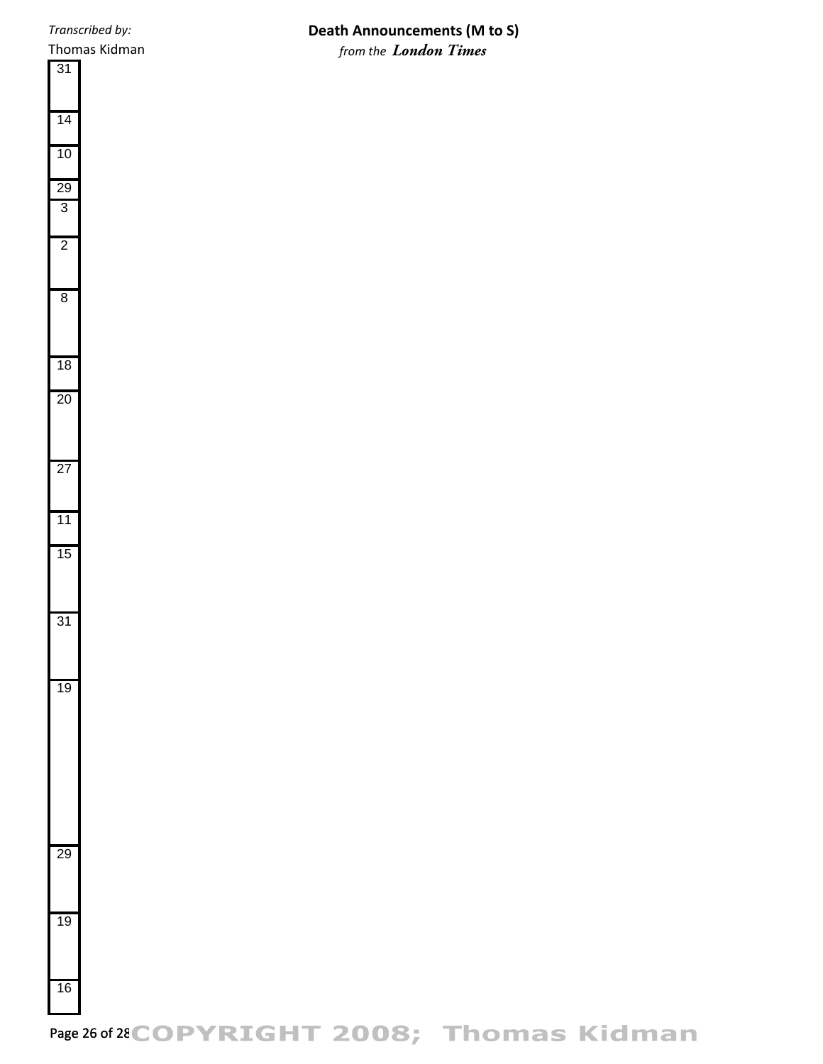## **Death Announcements (M to S)** *from the London Times*

Page 26 of 28 COPYRIGHT 2008; Thomas Kidman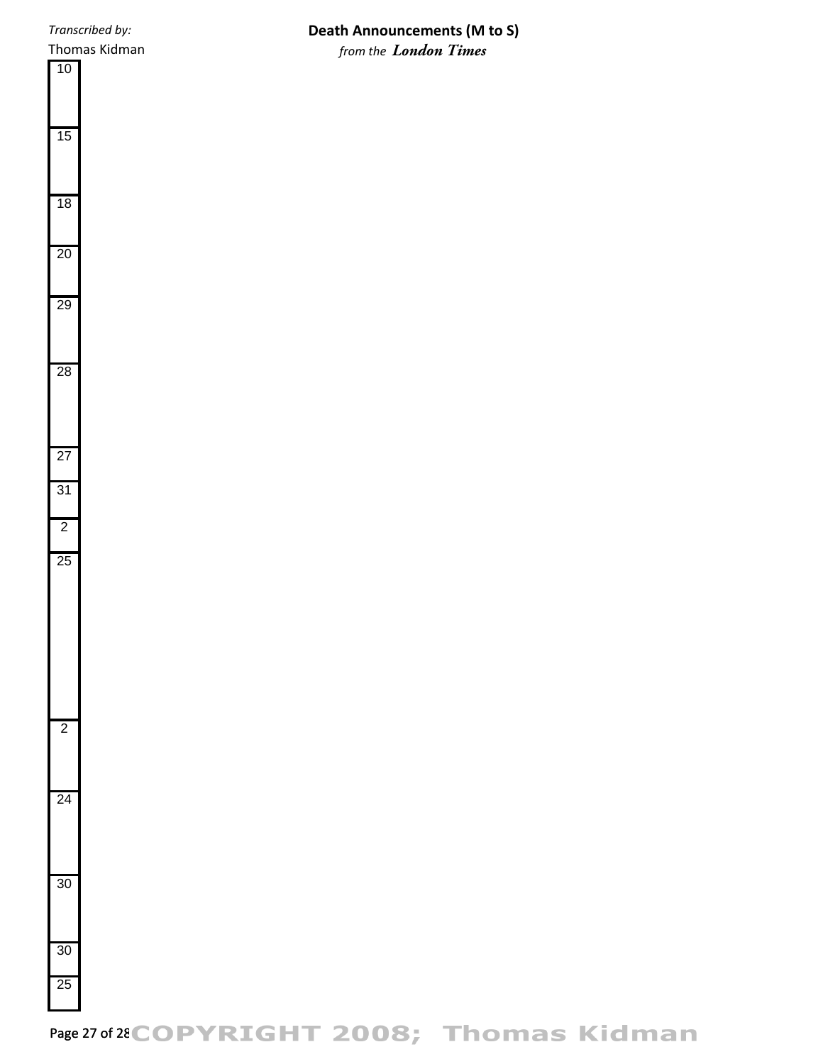## **Death Announcements (M to S)** *from the London Times*

Page 27 of 28 COPYRIGHT 2008; Thomas Kidman